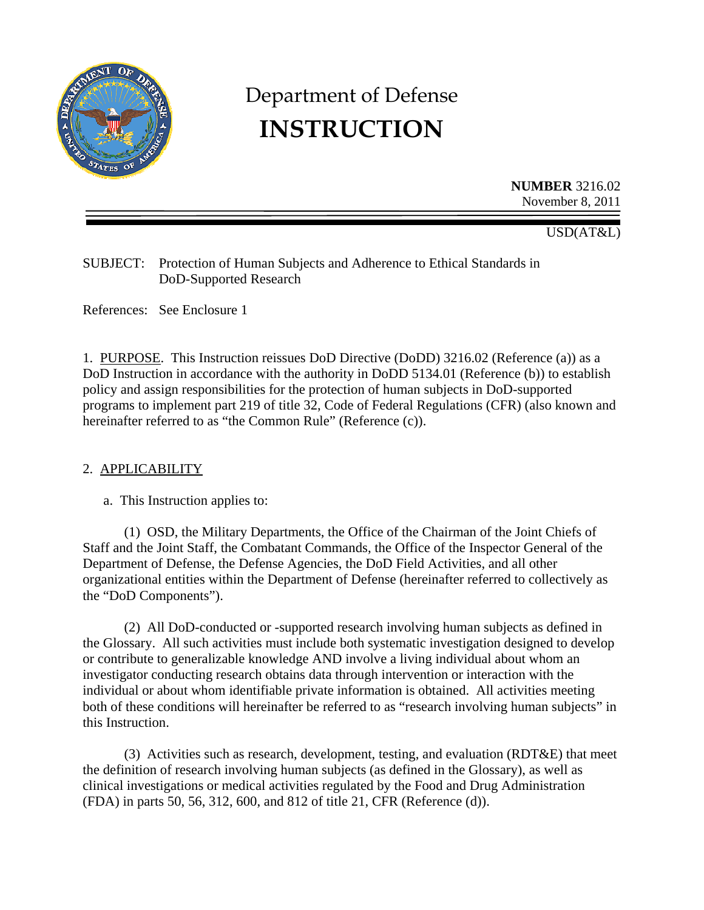

# Department of Defense **INSTRUCTION**

**NUMBER** 3216.02 November 8, 2011

USD(AT&L)

SUBJECT: Protection of Human Subjects and Adherence to Ethical Standards in DoD-Supported Research

References: See Enclosure 1

1. PURPOSE. This Instruction reissues DoD Directive (DoDD) 3216.02 (Reference (a)) as a DoD Instruction in accordance with the authority in DoDD 5134.01 (Reference (b)) to establish policy and assign responsibilities for the protection of human subjects in DoD-supported programs to implement part 219 of title 32, Code of Federal Regulations (CFR) (also known and hereinafter referred to as "the Common Rule" (Reference (c)).

#### 2. APPLICABILITY

a. This Instruction applies to:

(1) OSD, the Military Departments, the Office of the Chairman of the Joint Chiefs of Staff and the Joint Staff, the Combatant Commands, the Office of the Inspector General of the Department of Defense, the Defense Agencies, the DoD Field Activities, and all other organizational entities within the Department of Defense (hereinafter referred to collectively as the "DoD Components").

(2) All DoD-conducted or -supported research involving human subjects as defined in the Glossary. All such activities must include both systematic investigation designed to develop or contribute to generalizable knowledge AND involve a living individual about whom an investigator conducting research obtains data through intervention or interaction with the individual or about whom identifiable private information is obtained. All activities meeting both of these conditions will hereinafter be referred to as "research involving human subjects" in this Instruction.

 (3) Activities such as research, development, testing, and evaluation (RDT&E) that meet the definition of research involving human subjects (as defined in the Glossary), as well as clinical investigations or medical activities regulated by the Food and Drug Administration (FDA) in parts 50, 56, 312, 600, and 812 of title 21, CFR (Reference (d)).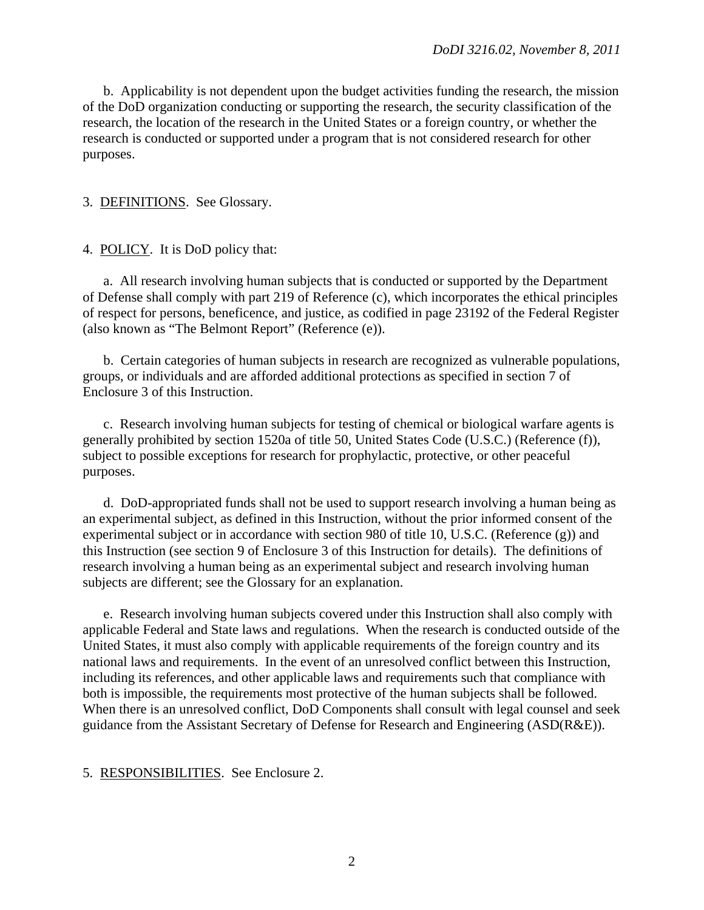b. Applicability is not dependent upon the budget activities funding the research, the mission of the DoD organization conducting or supporting the research, the security classification of the research, the location of the research in the United States or a foreign country, or whether the research is conducted or supported under a program that is not considered research for other purposes.

#### 3. DEFINITIONS. See Glossary.

#### 4. POLICY. It is DoD policy that:

 a. All research involving human subjects that is conducted or supported by the Department of Defense shall comply with part 219 of Reference (c), which incorporates the ethical principles of respect for persons, beneficence, and justice, as codified in page 23192 of the Federal Register (also known as "The Belmont Report" (Reference (e)).

 b. Certain categories of human subjects in research are recognized as vulnerable populations, groups, or individuals and are afforded additional protections as specified in section 7 of Enclosure 3 of this Instruction.

 c. Research involving human subjects for testing of chemical or biological warfare agents is generally prohibited by section 1520a of title 50, United States Code (U.S.C.) (Reference (f)), subject to possible exceptions for research for prophylactic, protective, or other peaceful purposes.

 d. DoD-appropriated funds shall not be used to support research involving a human being as an experimental subject, as defined in this Instruction, without the prior informed consent of the experimental subject or in accordance with section 980 of title 10, U.S.C. (Reference (g)) and this Instruction (see section 9 of Enclosure 3 of this Instruction for details). The definitions of research involving a human being as an experimental subject and research involving human subjects are different; see the Glossary for an explanation.

 e. Research involving human subjects covered under this Instruction shall also comply with applicable Federal and State laws and regulations. When the research is conducted outside of the United States, it must also comply with applicable requirements of the foreign country and its national laws and requirements. In the event of an unresolved conflict between this Instruction, including its references, and other applicable laws and requirements such that compliance with both is impossible, the requirements most protective of the human subjects shall be followed. When there is an unresolved conflict, DoD Components shall consult with legal counsel and seek guidance from the Assistant Secretary of Defense for Research and Engineering (ASD(R&E)).

#### 5. RESPONSIBILITIES. See Enclosure 2.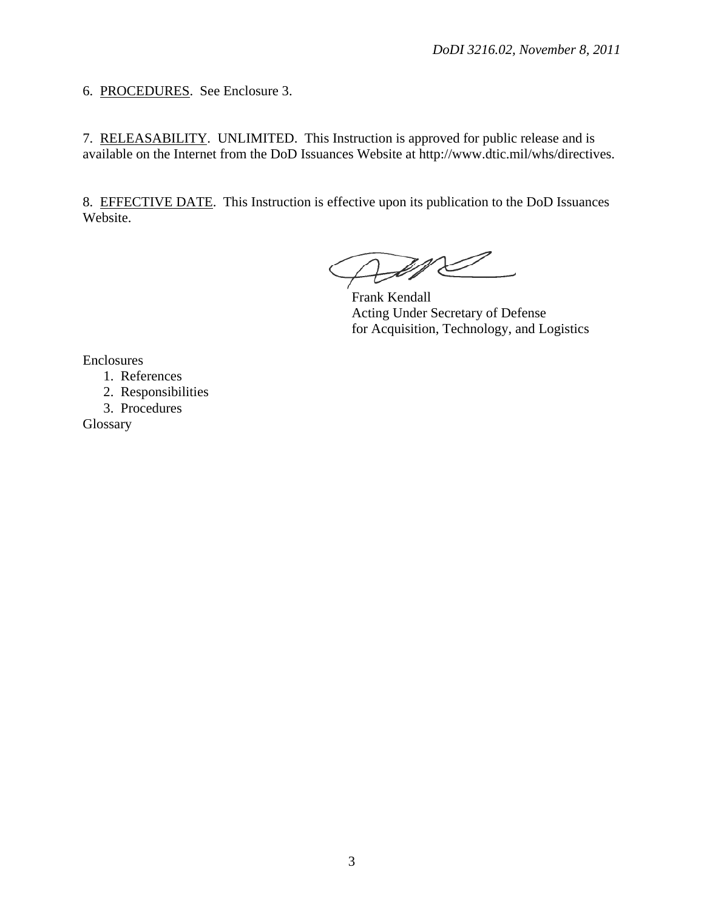6. PROCEDURES. See Enclosure 3.

7. RELEASABILITY. UNLIMITED. This Instruction is approved for public release and is available on the Internet from the DoD Issuances Website at http://www.dtic.mil/whs/directives.

8. EFFECTIVE DATE. This Instruction is effective upon its publication to the DoD Issuances Website.

DN

 Frank Kendall Acting Under Secretary of Defense for Acquisition, Technology, and Logistics

Enclosures

- 1. References
- 2. Responsibilities
- 3. Procedures

Glossary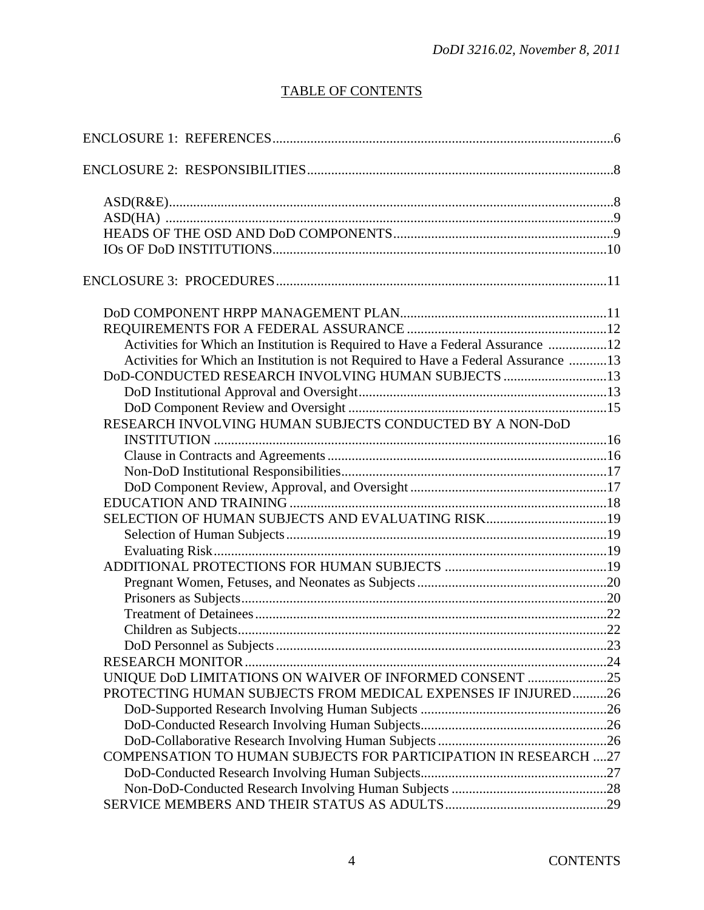# TABLE OF CONTENTS

| Activities for Which an Institution is Required to Have a Federal Assurance 12     |  |
|------------------------------------------------------------------------------------|--|
| Activities for Which an Institution is not Required to Have a Federal Assurance 13 |  |
| DoD-CONDUCTED RESEARCH INVOLVING HUMAN SUBJECTS 13                                 |  |
|                                                                                    |  |
|                                                                                    |  |
| RESEARCH INVOLVING HUMAN SUBJECTS CONDUCTED BY A NON-DoD                           |  |
|                                                                                    |  |
|                                                                                    |  |
|                                                                                    |  |
|                                                                                    |  |
|                                                                                    |  |
|                                                                                    |  |
|                                                                                    |  |
|                                                                                    |  |
|                                                                                    |  |
|                                                                                    |  |
|                                                                                    |  |
|                                                                                    |  |
|                                                                                    |  |
|                                                                                    |  |
|                                                                                    |  |
| UNIQUE DoD LIMITATIONS ON WAIVER OF INFORMED CONSENT 25                            |  |
| PROTECTING HUMAN SUBJECTS FROM MEDICAL EXPENSES IF INJURED26                       |  |
|                                                                                    |  |
|                                                                                    |  |
|                                                                                    |  |
| COMPENSATION TO HUMAN SUBJECTS FOR PARTICIPATION IN RESEARCH 27                    |  |
|                                                                                    |  |
|                                                                                    |  |
|                                                                                    |  |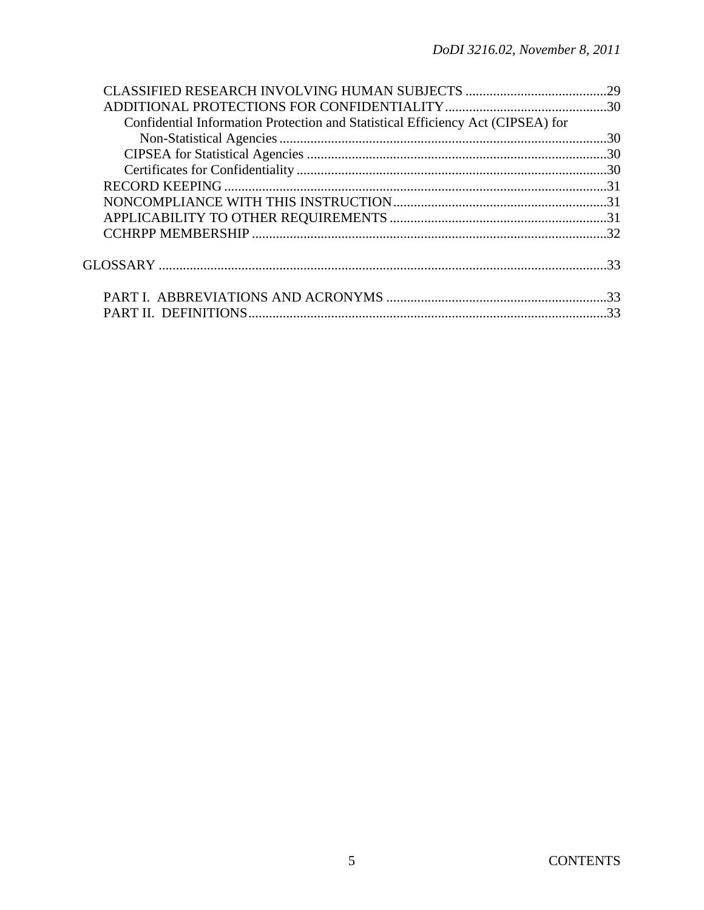| Confidential Information Protection and Statistical Efficiency Act (CIPSEA) for |  |
|---------------------------------------------------------------------------------|--|
|                                                                                 |  |
|                                                                                 |  |
|                                                                                 |  |
|                                                                                 |  |
|                                                                                 |  |
|                                                                                 |  |
|                                                                                 |  |
|                                                                                 |  |
|                                                                                 |  |
|                                                                                 |  |
|                                                                                 |  |
|                                                                                 |  |
|                                                                                 |  |
|                                                                                 |  |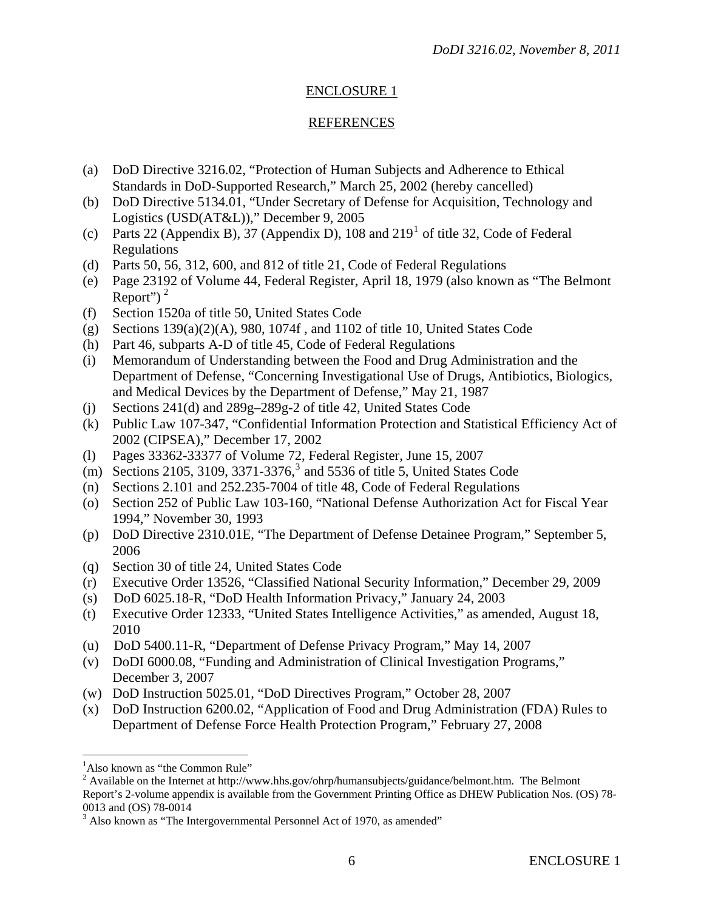#### ENCLOSURE 1

#### REFERENCES

- (a) DoD Directive 3216.02, "Protection of Human Subjects and Adherence to Ethical Standards in DoD-Supported Research," March 25, 2002 (hereby cancelled)
- (b) DoD Directive 5134.01, "Under Secretary of Defense for Acquisition, Technology and Logistics (USD(AT&L))," December 9, 2005
- (c) Parts 22 (Appendix B), 37 (Appendix D), [1](#page-5-0)08 and  $219<sup>1</sup>$  of title 32, Code of Federal Regulations
- (d) Parts 50, 56, 312, 600, and 812 of title 21, Code of Federal Regulations
- (e) Page 23192 of Volume 44, Federal Register, April 18, 1979 (also known as "[The Belmont](http://www.hhs.gov/ohrp/humansubjects/guidance/belmont.htm)  [Report"](http://www.hhs.gov/ohrp/humansubjects/guidance/belmont.htm))<sup>[2](#page-5-1)</sup>
- (f) Section 1520a of title 50, United States Code
- (g) Sections 139(a)(2)(A), 980, 1074f , and 1102 of title 10, United States Code
- (h) Part 46, subparts A-D of title 45, Code of Federal Regulations
- (i) Memorandum of Understanding between the Food and Drug Administration and the Department of Defense, "Concerning Investigational Use of Drugs, Antibiotics, Biologics, and Medical Devices by the Department of Defense," May 21, 1987
- (j) Sections 241(d) and 289g–289g-2 of title 42, United States Code
- (k) Public Law 107-347, "Confidential Information Protection and Statistical Efficiency Act of 2002 (CIPSEA)," December 17, 2002
- (l) Pages 33362-33377 of Volume 72, Federal Register, June 15, 2007
- $(m)$  Sections 2105, [3](#page-5-2)109, 3371-3376,<sup>3</sup> and 5536 of title 5, United States Code
- (n) Sections 2.101 and 252.235-7004 of title 48, Code of Federal Regulations
- (o) Section 252 of Public Law 103-160, "National Defense Authorization Act for Fiscal Year 1994," November 30, 1993
- (p) DoD Directive 2310.01E, "The Department of Defense Detainee Program," September 5, 2006
- (q) Section 30 of title 24, United States Code
- (r) Executive Order 13526, "Classified National Security Information," December 29, 2009
- (s) DoD 6025.18-R, "DoD Health Information Privacy," January 24, 2003
- (t) Executive Order 12333, "United States Intelligence Activities," as amended, August 18, 2010
- (u) DoD 5400.11-R, "Department of Defense Privacy Program," May 14, 2007
- (v) DoDI 6000.08, "Funding and Administration of Clinical Investigation Programs," December 3, 2007
- (w) DoD Instruction 5025.01, "DoD Directives Program," October 28, 2007
- (x) DoD Instruction 6200.02, "Application of Food and Drug Administration (FDA) Rules to Department of Defense Force Health Protection Program," February 27, 2008

<span id="page-5-0"></span><sup>&</sup>lt;sup>1</sup>Also known as "the Common Rule"

<span id="page-5-1"></span><sup>&</sup>lt;sup>2</sup> Available on the Internet at [http://www.hhs.gov/ohrp/humansubjects/guidance/belmont.htm.](http://www.hhs.gov/ohrp/humansubjects/guidance/belmont.htm) The Belmont Report's 2-volume appendix is available from the Government Printing Office as DHEW Publication Nos. (OS) 78- 0013 and (OS) 78-0014

<span id="page-5-2"></span><sup>&</sup>lt;sup>3</sup> Also known as "The Intergovernmental Personnel Act of 1970, as amended"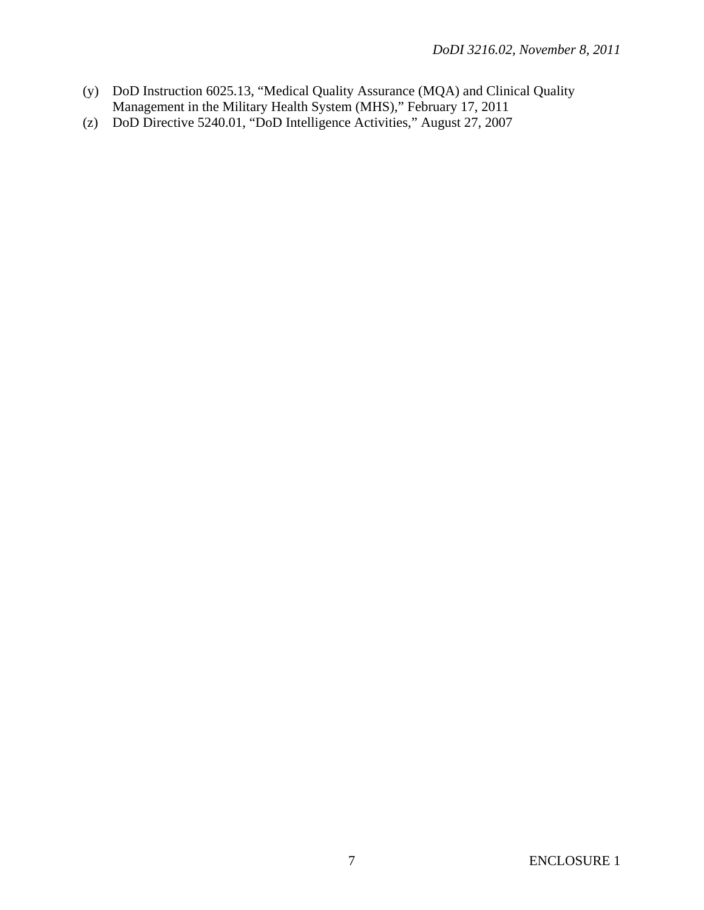- (y) DoD Instruction 6025.13, "Medical Quality Assurance (MQA) and Clinical Quality Management in the Military Health System (MHS)," February 17, 2011
- (z) DoD Directive 5240.01, "DoD Intelligence Activities," August 27, 2007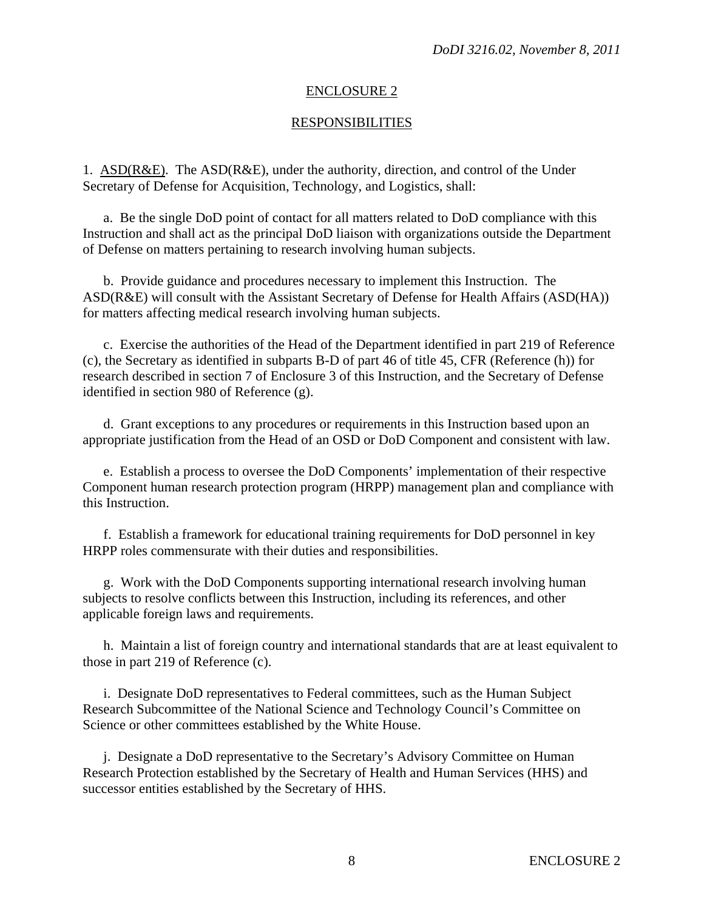#### ENCLOSURE 2

#### RESPONSIBILITIES

1.  $\triangle SD(R\&E)$ . The  $\triangle SD(R\&E)$ , under the authority, direction, and control of the Under Secretary of Defense for Acquisition, Technology, and Logistics, shall:

 a. Be the single DoD point of contact for all matters related to DoD compliance with this Instruction and shall act as the principal DoD liaison with organizations outside the Department of Defense on matters pertaining to research involving human subjects.

 b. Provide guidance and procedures necessary to implement this Instruction. The ASD(R&E) will consult with the Assistant Secretary of Defense for Health Affairs (ASD(HA)) for matters affecting medical research involving human subjects.

 c. Exercise the authorities of the Head of the Department identified in part 219 of Reference (c), the Secretary as identified in subparts B-D of part 46 of title 45, CFR (Reference (h)) for research described in section 7 of Enclosure 3 of this Instruction, and the Secretary of Defense identified in section 980 of Reference (g).

 d. Grant exceptions to any procedures or requirements in this Instruction based upon an appropriate justification from the Head of an OSD or DoD Component and consistent with law.

 e. Establish a process to oversee the DoD Components' implementation of their respective Component human research protection program (HRPP) management plan and compliance with this Instruction.

 f. Establish a framework for educational training requirements for DoD personnel in key HRPP roles commensurate with their duties and responsibilities.

 g. Work with the DoD Components supporting international research involving human subjects to resolve conflicts between this Instruction, including its references, and other applicable foreign laws and requirements.

 h. Maintain a list of foreign country and international standards that are at least equivalent to those in part 219 of Reference (c).

 i. Designate DoD representatives to Federal committees, such as the Human Subject Research Subcommittee of the National Science and Technology Council's Committee on Science or other committees established by the White House.

 j. Designate a DoD representative to the Secretary's Advisory Committee on Human Research Protection established by the Secretary of Health and Human Services (HHS) and successor entities established by the Secretary of HHS.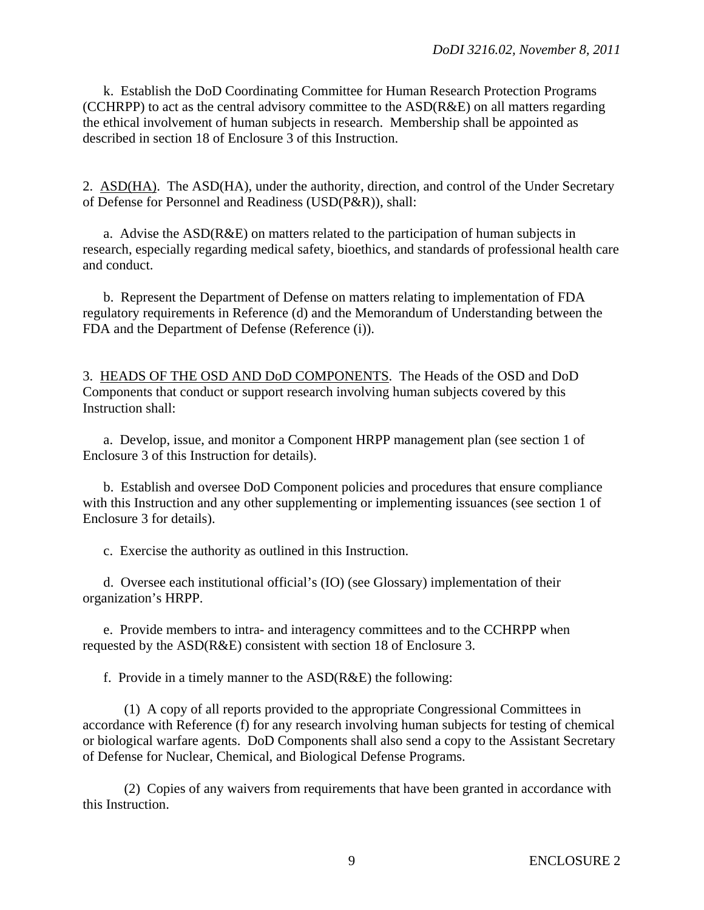k. Establish the DoD Coordinating Committee for Human Research Protection Programs (CCHRPP) to act as the central advisory committee to the ASD(R&E) on all matters regarding the ethical involvement of human subjects in research. Membership shall be appointed as described in section 18 of Enclosure 3 of this Instruction.

2. ASD(HA). The ASD(HA), under the authority, direction, and control of the Under Secretary of Defense for Personnel and Readiness (USD(P&R)), shall:

 a. Advise the ASD(R&E) on matters related to the participation of human subjects in research, especially regarding medical safety, bioethics, and standards of professional health care and conduct.

 b. Represent the Department of Defense on matters relating to implementation of FDA regulatory requirements in Reference (d) and the Memorandum of Understanding between the FDA and the Department of Defense (Reference (i)).

3. HEADS OF THE OSD AND DoD COMPONENTS. The Heads of the OSD and DoD Components that conduct or support research involving human subjects covered by this Instruction shall:

 a. Develop, issue, and monitor a Component HRPP management plan (see section 1 of Enclosure 3 of this Instruction for details).

 b. Establish and oversee DoD Component policies and procedures that ensure compliance with this Instruction and any other supplementing or implementing issuances (see section 1 of Enclosure 3 for details).

c. Exercise the authority as outlined in this Instruction.

d. Oversee each institutional official's (IO) (see Glossary) implementation of their organization's HRPP.

 e. Provide members to intra- and interagency committees and to the CCHRPP when requested by the ASD(R&E) consistent with section 18 of Enclosure 3.

f. Provide in a timely manner to the ASD(R&E) the following:

 (1) A copy of all reports provided to the appropriate Congressional Committees in accordance with Reference (f) for any research involving human subjects for testing of chemical or biological warfare agents. DoD Components shall also send a copy to the Assistant Secretary of Defense for Nuclear, Chemical, and Biological Defense Programs.

 (2) Copies of any waivers from requirements that have been granted in accordance with this Instruction.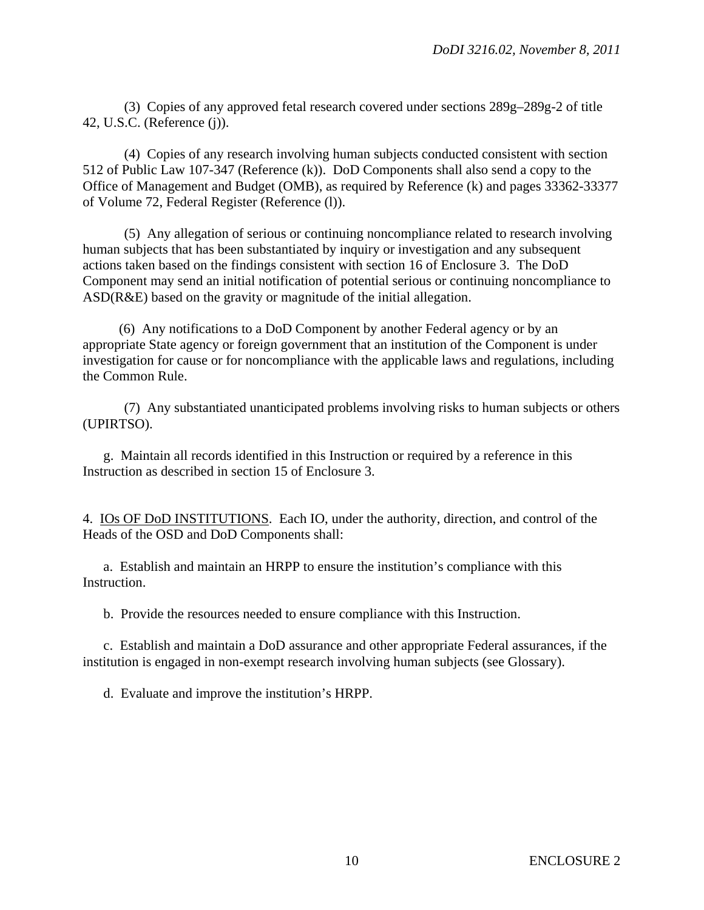(3) Copies of any approved fetal research covered under sections 289g–289g-2 of title 42, U.S.C. (Reference (j)).

 (4) Copies of any research involving human subjects conducted consistent with section 512 of Public Law 107-347 (Reference (k)). DoD Components shall also send a copy to the Office of Management and Budget (OMB), as required by Reference (k) and pages 33362-33377 of Volume 72, Federal Register (Reference (l)).

 (5) Any allegation of serious or continuing noncompliance related to research involving human subjects that has been substantiated by inquiry or investigation and any subsequent actions taken based on the findings consistent with section 16 of Enclosure 3. The DoD Component may send an initial notification of potential serious or continuing noncompliance to ASD(R&E) based on the gravity or magnitude of the initial allegation.

 (6) Any notifications to a DoD Component by another Federal agency or by an appropriate State agency or foreign government that an institution of the Component is under investigation for cause or for noncompliance with the applicable laws and regulations, including the Common Rule.

 (7) Any substantiated unanticipated problems involving risks to human subjects or others (UPIRTSO).

 g. Maintain all records identified in this Instruction or required by a reference in this Instruction as described in section 15 of Enclosure 3.

4. IOs OF DoD INSTITUTIONS. Each IO, under the authority, direction, and control of the Heads of the OSD and DoD Components shall:

 a. Establish and maintain an HRPP to ensure the institution's compliance with this Instruction.

b. Provide the resources needed to ensure compliance with this Instruction.

 c. Establish and maintain a DoD assurance and other appropriate Federal assurances, if the institution is engaged in non-exempt research involving human subjects (see Glossary).

d. Evaluate and improve the institution's HRPP.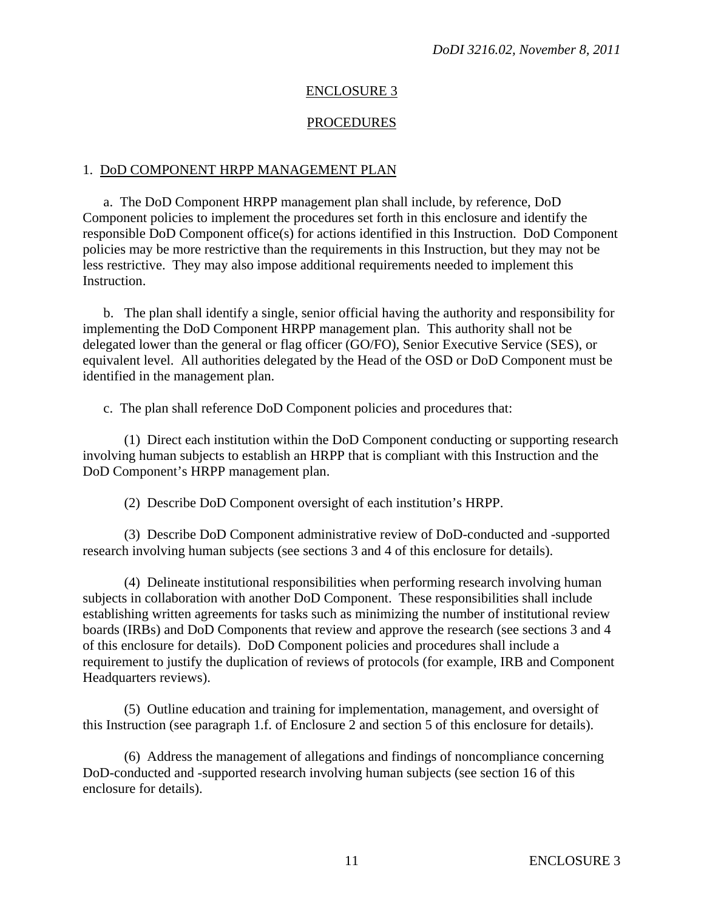#### ENCLOSURE 3

#### **PROCEDURES**

#### 1. DoD COMPONENT HRPP MANAGEMENT PLAN

 a. The DoD Component HRPP management plan shall include, by reference, DoD Component policies to implement the procedures set forth in this enclosure and identify the responsible DoD Component office(s) for actions identified in this Instruction. DoD Component policies may be more restrictive than the requirements in this Instruction, but they may not be less restrictive. They may also impose additional requirements needed to implement this Instruction.

 b. The plan shall identify a single, senior official having the authority and responsibility for implementing the DoD Component HRPP management plan. This authority shall not be delegated lower than the general or flag officer (GO/FO), Senior Executive Service (SES), or equivalent level. All authorities delegated by the Head of the OSD or DoD Component must be identified in the management plan.

c. The plan shall reference DoD Component policies and procedures that:

 (1) Direct each institution within the DoD Component conducting or supporting research involving human subjects to establish an HRPP that is compliant with this Instruction and the DoD Component's HRPP management plan.

(2) Describe DoD Component oversight of each institution's HRPP.

 (3) Describe DoD Component administrative review of DoD-conducted and -supported research involving human subjects (see sections 3 and 4 of this enclosure for details).

 (4) Delineate institutional responsibilities when performing research involving human subjects in collaboration with another DoD Component. These responsibilities shall include establishing written agreements for tasks such as minimizing the number of institutional review boards (IRBs) and DoD Components that review and approve the research (see sections 3 and 4 of this enclosure for details). DoD Component policies and procedures shall include a requirement to justify the duplication of reviews of protocols (for example, IRB and Component Headquarters reviews).

 (5) Outline education and training for implementation, management, and oversight of this Instruction (see paragraph 1.f. of Enclosure 2 and section 5 of this enclosure for details).

 (6) Address the management of allegations and findings of noncompliance concerning DoD-conducted and -supported research involving human subjects (see section 16 of this enclosure for details).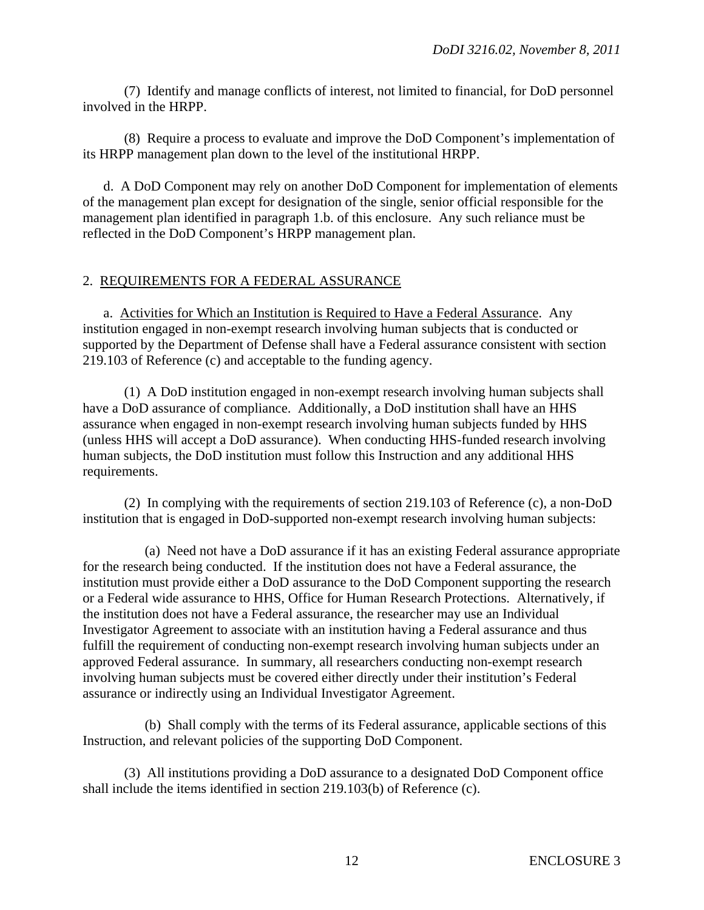(7) Identify and manage conflicts of interest, not limited to financial, for DoD personnel involved in the HRPP.

 (8) Require a process to evaluate and improve the DoD Component's implementation of its HRPP management plan down to the level of the institutional HRPP.

 d. A DoD Component may rely on another DoD Component for implementation of elements of the management plan except for designation of the single, senior official responsible for the management plan identified in paragraph 1.b. of this enclosure. Any such reliance must be reflected in the DoD Component's HRPP management plan.

#### 2. REQUIREMENTS FOR A FEDERAL ASSURANCE

 a. Activities for Which an Institution is Required to Have a Federal Assurance. Any institution engaged in non-exempt research involving human subjects that is conducted or supported by the Department of Defense shall have a Federal assurance consistent with section 219.103 of Reference (c) and acceptable to the funding agency.

 (1) A DoD institution engaged in non-exempt research involving human subjects shall have a DoD assurance of compliance. Additionally, a DoD institution shall have an HHS assurance when engaged in non-exempt research involving human subjects funded by HHS (unless HHS will accept a DoD assurance). When conducting HHS-funded research involving human subjects, the DoD institution must follow this Instruction and any additional HHS requirements.

 (2) In complying with the requirements of section 219.103 of Reference (c), a non-DoD institution that is engaged in DoD-supported non-exempt research involving human subjects:

 (a) Need not have a DoD assurance if it has an existing Federal assurance appropriate for the research being conducted. If the institution does not have a Federal assurance, the institution must provide either a DoD assurance to the DoD Component supporting the research or a Federal wide assurance to HHS, Office for Human Research Protections. Alternatively, if the institution does not have a Federal assurance, the researcher may use an Individual Investigator Agreement to associate with an institution having a Federal assurance and thus fulfill the requirement of conducting non-exempt research involving human subjects under an approved Federal assurance. In summary, all researchers conducting non-exempt research involving human subjects must be covered either directly under their institution's Federal assurance or indirectly using an Individual Investigator Agreement.

 (b) Shall comply with the terms of its Federal assurance, applicable sections of this Instruction, and relevant policies of the supporting DoD Component.

 (3) All institutions providing a DoD assurance to a designated DoD Component office shall include the items identified in section 219.103(b) of Reference (c).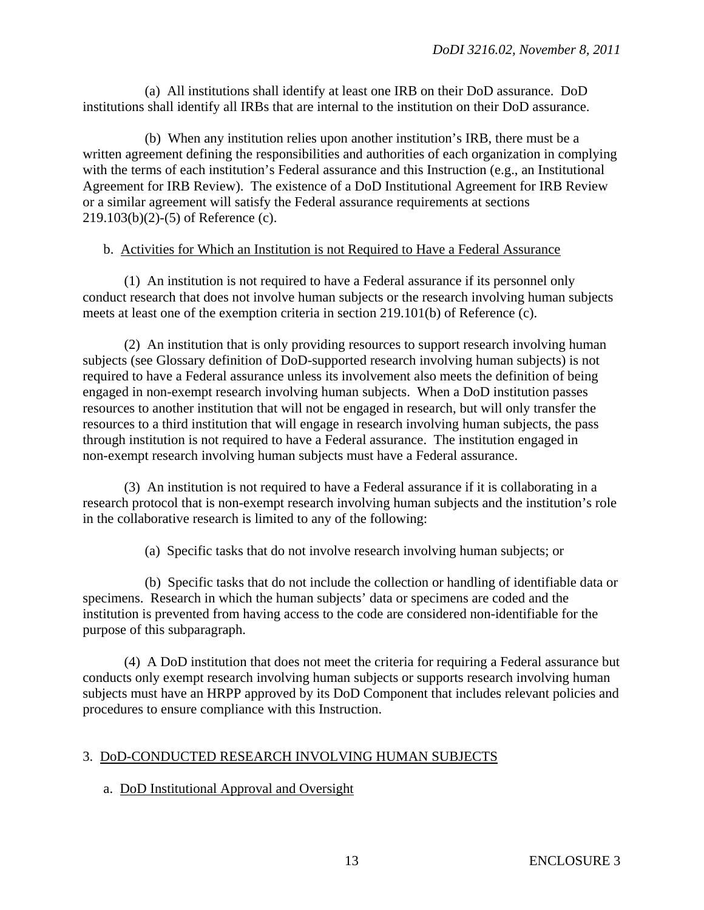(a) All institutions shall identify at least one IRB on their DoD assurance. DoD institutions shall identify all IRBs that are internal to the institution on their DoD assurance.

 (b) When any institution relies upon another institution's IRB, there must be a written agreement defining the responsibilities and authorities of each organization in complying with the terms of each institution's Federal assurance and this Instruction (e.g., an Institutional Agreement for IRB Review). The existence of a DoD Institutional Agreement for IRB Review or a similar agreement will satisfy the Federal assurance requirements at sections 219.103(b)(2)-(5) of Reference (c).

#### b. Activities for Which an Institution is not Required to Have a Federal Assurance

 (1) An institution is not required to have a Federal assurance if its personnel only conduct research that does not involve human subjects or the research involving human subjects meets at least one of the exemption criteria in section 219.101(b) of Reference (c).

 (2) An institution that is only providing resources to support research involving human subjects (see Glossary definition of DoD-supported research involving human subjects) is not required to have a Federal assurance unless its involvement also meets the definition of being engaged in non-exempt research involving human subjects. When a DoD institution passes resources to another institution that will not be engaged in research, but will only transfer the resources to a third institution that will engage in research involving human subjects, the pass through institution is not required to have a Federal assurance. The institution engaged in non-exempt research involving human subjects must have a Federal assurance.

 (3) An institution is not required to have a Federal assurance if it is collaborating in a research protocol that is non-exempt research involving human subjects and the institution's role in the collaborative research is limited to any of the following:

(a) Specific tasks that do not involve research involving human subjects; or

 (b) Specific tasks that do not include the collection or handling of identifiable data or specimens. Research in which the human subjects' data or specimens are coded and the institution is prevented from having access to the code are considered non-identifiable for the purpose of this subparagraph.

 (4) A DoD institution that does not meet the criteria for requiring a Federal assurance but conducts only exempt research involving human subjects or supports research involving human subjects must have an HRPP approved by its DoD Component that includes relevant policies and procedures to ensure compliance with this Instruction.

#### 3. DoD-CONDUCTED RESEARCH INVOLVING HUMAN SUBJECTS

#### a. DoD Institutional Approval and Oversight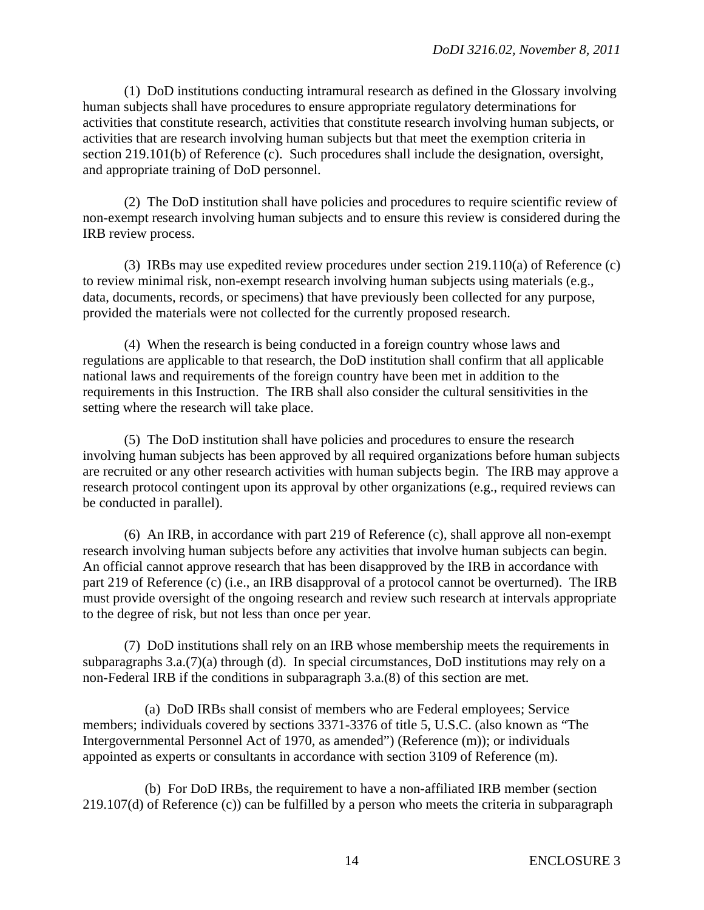(1) DoD institutions conducting intramural research as defined in the Glossary involving human subjects shall have procedures to ensure appropriate regulatory determinations for activities that constitute research, activities that constitute research involving human subjects, or activities that are research involving human subjects but that meet the exemption criteria in section 219.101(b) of Reference (c). Such procedures shall include the designation, oversight, and appropriate training of DoD personnel.

 (2) The DoD institution shall have policies and procedures to require scientific review of non-exempt research involving human subjects and to ensure this review is considered during the IRB review process.

 (3) IRBs may use expedited review procedures under section 219.110(a) of Reference (c) to review minimal risk, non-exempt research involving human subjects using materials (e.g., data, documents, records, or specimens) that have previously been collected for any purpose, provided the materials were not collected for the currently proposed research.

 (4) When the research is being conducted in a foreign country whose laws and regulations are applicable to that research, the DoD institution shall confirm that all applicable national laws and requirements of the foreign country have been met in addition to the requirements in this Instruction. The IRB shall also consider the cultural sensitivities in the setting where the research will take place.

 (5) The DoD institution shall have policies and procedures to ensure the research involving human subjects has been approved by all required organizations before human subjects are recruited or any other research activities with human subjects begin. The IRB may approve a research protocol contingent upon its approval by other organizations (e.g., required reviews can be conducted in parallel).

 (6) An IRB, in accordance with part 219 of Reference (c), shall approve all non-exempt research involving human subjects before any activities that involve human subjects can begin. An official cannot approve research that has been disapproved by the IRB in accordance with part 219 of Reference (c) (i.e., an IRB disapproval of a protocol cannot be overturned). The IRB must provide oversight of the ongoing research and review such research at intervals appropriate to the degree of risk, but not less than once per year.

 (7) DoD institutions shall rely on an IRB whose membership meets the requirements in subparagraphs 3.a.(7)(a) through (d). In special circumstances, DoD institutions may rely on a non-Federal IRB if the conditions in subparagraph 3.a.(8) of this section are met.

 (a) DoD IRBs shall consist of members who are Federal employees; Service members; individuals covered by sections 3371-3376 of title 5, U.S.C. (also known as "The Intergovernmental Personnel Act of 1970, as amended") (Reference (m)); or individuals appointed as experts or consultants in accordance with section 3109 of Reference (m).

 (b) For DoD IRBs, the requirement to have a non-affiliated IRB member (section 219.107(d) of Reference (c)) can be fulfilled by a person who meets the criteria in subparagraph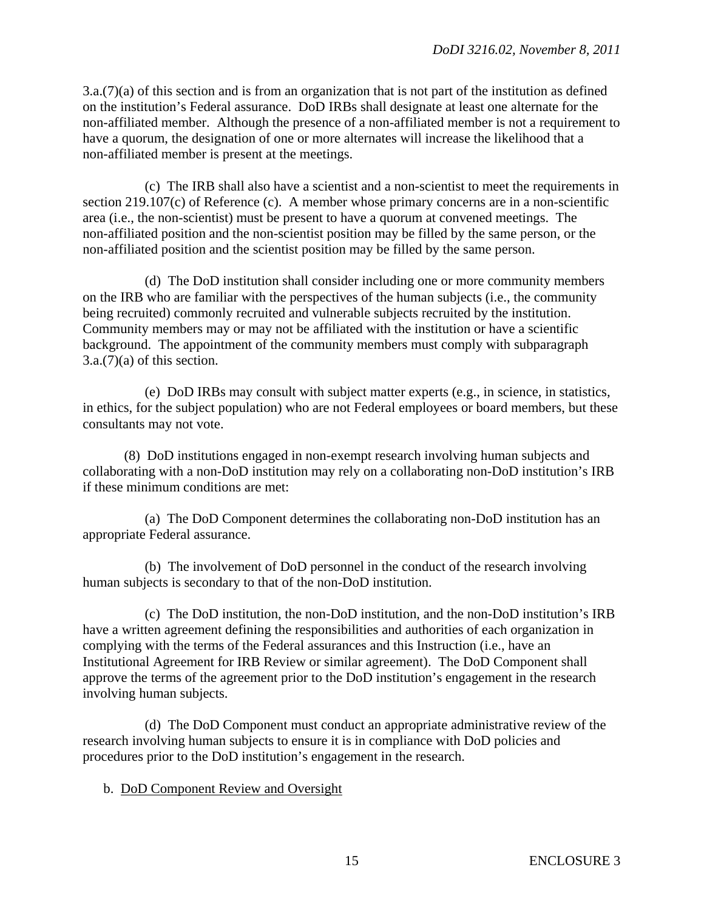3.a.(7)(a) of this section and is from an organization that is not part of the institution as defined on the institution's Federal assurance. DoD IRBs shall designate at least one alternate for the non-affiliated member. Although the presence of a non-affiliated member is not a requirement to have a quorum, the designation of one or more alternates will increase the likelihood that a non-affiliated member is present at the meetings.

 (c) The IRB shall also have a scientist and a non-scientist to meet the requirements in section 219.107(c) of Reference (c). A member whose primary concerns are in a non-scientific area (i.e., the non-scientist) must be present to have a quorum at convened meetings. The non-affiliated position and the non-scientist position may be filled by the same person, or the non-affiliated position and the scientist position may be filled by the same person.

 (d) The DoD institution shall consider including one or more community members on the IRB who are familiar with the perspectives of the human subjects (i.e., the community being recruited) commonly recruited and vulnerable subjects recruited by the institution. Community members may or may not be affiliated with the institution or have a scientific background. The appointment of the community members must comply with subparagraph  $3.a.(7)(a)$  of this section.

 (e) DoD IRBs may consult with subject matter experts (e.g., in science, in statistics, in ethics, for the subject population) who are not Federal employees or board members, but these consultants may not vote.

 (8) DoD institutions engaged in non-exempt research involving human subjects and collaborating with a non-DoD institution may rely on a collaborating non-DoD institution's IRB if these minimum conditions are met:

 (a) The DoD Component determines the collaborating non-DoD institution has an appropriate Federal assurance.

 (b) The involvement of DoD personnel in the conduct of the research involving human subjects is secondary to that of the non-DoD institution.

 (c) The DoD institution, the non-DoD institution, and the non-DoD institution's IRB have a written agreement defining the responsibilities and authorities of each organization in complying with the terms of the Federal assurances and this Instruction (i.e., have an Institutional Agreement for IRB Review or similar agreement). The DoD Component shall approve the terms of the agreement prior to the DoD institution's engagement in the research involving human subjects.

 (d) The DoD Component must conduct an appropriate administrative review of the research involving human subjects to ensure it is in compliance with DoD policies and procedures prior to the DoD institution's engagement in the research.

#### b. DoD Component Review and Oversight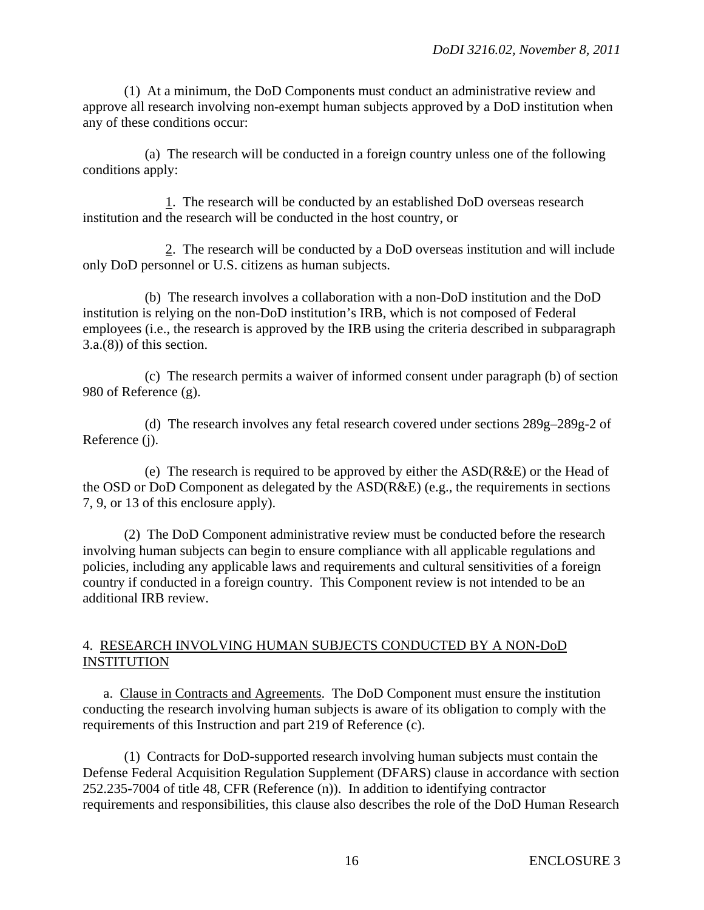(1) At a minimum, the DoD Components must conduct an administrative review and approve all research involving non-exempt human subjects approved by a DoD institution when any of these conditions occur:

 (a) The research will be conducted in a foreign country unless one of the following conditions apply:

 1. The research will be conducted by an established DoD overseas research institution and the research will be conducted in the host country, or

 2. The research will be conducted by a DoD overseas institution and will include only DoD personnel or U.S. citizens as human subjects.

 (b) The research involves a collaboration with a non-DoD institution and the DoD institution is relying on the non-DoD institution's IRB, which is not composed of Federal employees (i.e., the research is approved by the IRB using the criteria described in subparagraph 3.a.(8)) of this section.

 (c) The research permits a waiver of informed consent under paragraph (b) of section 980 of Reference (g).

 (d) The research involves any fetal research covered under sections 289g–289g-2 of Reference (j).

 (e) The research is required to be approved by either the ASD(R&E) or the Head of the OSD or DoD Component as delegated by the ASD(R&E) (e.g., the requirements in sections 7, 9, or 13 of this enclosure apply).

 (2) The DoD Component administrative review must be conducted before the research involving human subjects can begin to ensure compliance with all applicable regulations and policies, including any applicable laws and requirements and cultural sensitivities of a foreign country if conducted in a foreign country. This Component review is not intended to be an additional IRB review.

#### 4. RESEARCH INVOLVING HUMAN SUBJECTS CONDUCTED BY A NON-DoD **INSTITUTION**

 a. Clause in Contracts and Agreements. The DoD Component must ensure the institution conducting the research involving human subjects is aware of its obligation to comply with the requirements of this Instruction and part 219 of Reference (c).

 (1) Contracts for DoD-supported research involving human subjects must contain the Defense Federal Acquisition Regulation Supplement (DFARS) clause in accordance with section 252.235-7004 of title 48, CFR (Reference (n)). In addition to identifying contractor requirements and responsibilities, this clause also describes the role of the DoD Human Research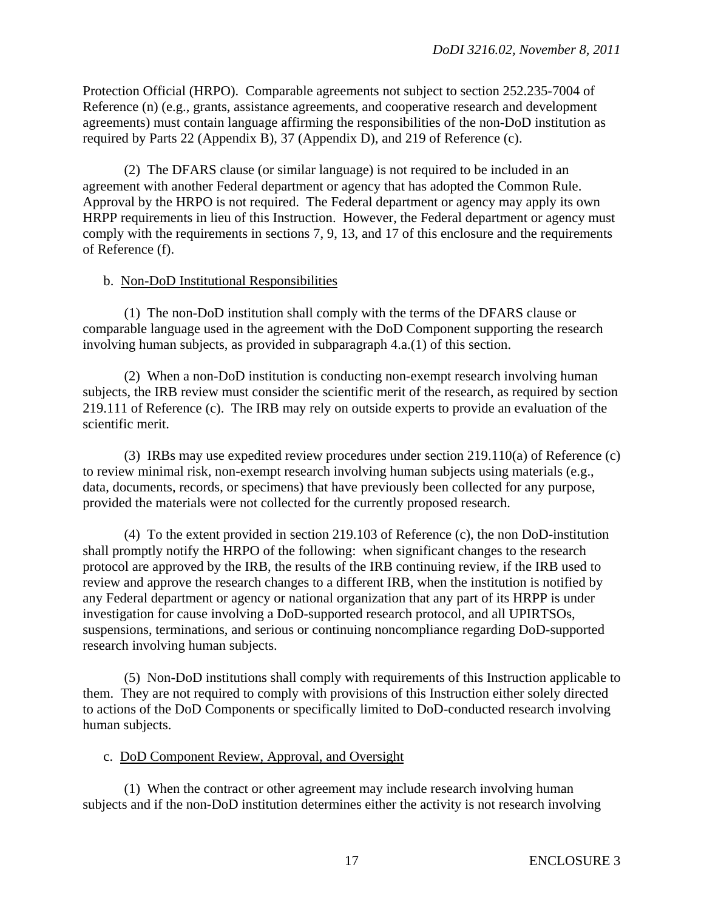Protection Official (HRPO). Comparable agreements not subject to section 252.235-7004 of Reference (n) (e.g., grants, assistance agreements, and cooperative research and development agreements) must contain language affirming the responsibilities of the non-DoD institution as required by Parts 22 (Appendix B), 37 (Appendix D), and 219 of Reference (c).

 (2) The DFARS clause (or similar language) is not required to be included in an agreement with another Federal department or agency that has adopted the Common Rule. Approval by the HRPO is not required. The Federal department or agency may apply its own HRPP requirements in lieu of this Instruction. However, the Federal department or agency must comply with the requirements in sections 7, 9, 13, and 17 of this enclosure and the requirements of Reference (f).

#### b. Non-DoD Institutional Responsibilities

 (1) The non-DoD institution shall comply with the terms of the DFARS clause or comparable language used in the agreement with the DoD Component supporting the research involving human subjects, as provided in subparagraph 4.a.(1) of this section.

 (2) When a non-DoD institution is conducting non-exempt research involving human subjects, the IRB review must consider the scientific merit of the research, as required by section 219.111 of Reference (c). The IRB may rely on outside experts to provide an evaluation of the scientific merit.

 (3) IRBs may use expedited review procedures under section 219.110(a) of Reference (c) to review minimal risk, non-exempt research involving human subjects using materials (e.g., data, documents, records, or specimens) that have previously been collected for any purpose, provided the materials were not collected for the currently proposed research.

 (4) To the extent provided in section 219.103 of Reference (c), the non DoD-institution shall promptly notify the HRPO of the following: when significant changes to the research protocol are approved by the IRB, the results of the IRB continuing review, if the IRB used to review and approve the research changes to a different IRB, when the institution is notified by any Federal department or agency or national organization that any part of its HRPP is under investigation for cause involving a DoD-supported research protocol, and all UPIRTSOs, suspensions, terminations, and serious or continuing noncompliance regarding DoD-supported research involving human subjects.

 (5) Non-DoD institutions shall comply with requirements of this Instruction applicable to them. They are not required to comply with provisions of this Instruction either solely directed to actions of the DoD Components or specifically limited to DoD-conducted research involving human subjects.

#### c. DoD Component Review, Approval, and Oversight

 (1) When the contract or other agreement may include research involving human subjects and if the non-DoD institution determines either the activity is not research involving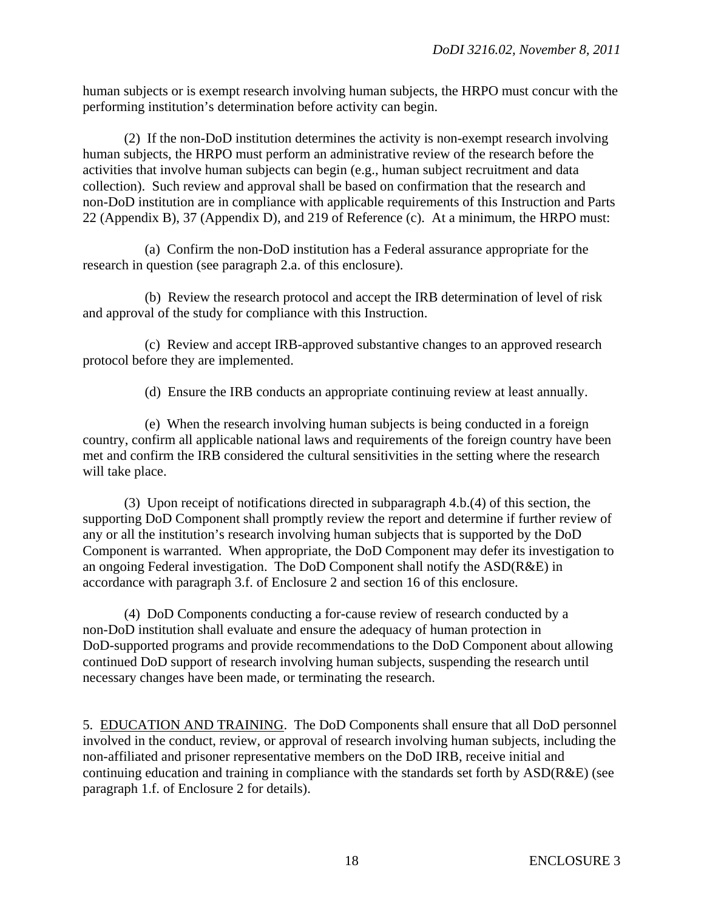human subjects or is exempt research involving human subjects, the HRPO must concur with the performing institution's determination before activity can begin.

 (2) If the non-DoD institution determines the activity is non-exempt research involving human subjects, the HRPO must perform an administrative review of the research before the activities that involve human subjects can begin (e.g., human subject recruitment and data collection). Such review and approval shall be based on confirmation that the research and non-DoD institution are in compliance with applicable requirements of this Instruction and Parts 22 (Appendix B), 37 (Appendix D), and 219 of Reference (c). At a minimum, the HRPO must:

 (a) Confirm the non-DoD institution has a Federal assurance appropriate for the research in question (see paragraph 2.a. of this enclosure).

 (b) Review the research protocol and accept the IRB determination of level of risk and approval of the study for compliance with this Instruction.

 (c) Review and accept IRB-approved substantive changes to an approved research protocol before they are implemented.

(d) Ensure the IRB conducts an appropriate continuing review at least annually.

 (e) When the research involving human subjects is being conducted in a foreign country, confirm all applicable national laws and requirements of the foreign country have been met and confirm the IRB considered the cultural sensitivities in the setting where the research will take place.

 (3) Upon receipt of notifications directed in subparagraph 4.b.(4) of this section, the supporting DoD Component shall promptly review the report and determine if further review of any or all the institution's research involving human subjects that is supported by the DoD Component is warranted. When appropriate, the DoD Component may defer its investigation to an ongoing Federal investigation. The DoD Component shall notify the ASD(R&E) in accordance with paragraph 3.f. of Enclosure 2 and section 16 of this enclosure.

 (4) DoD Components conducting a for-cause review of research conducted by a non-DoD institution shall evaluate and ensure the adequacy of human protection in DoD-supported programs and provide recommendations to the DoD Component about allowing continued DoD support of research involving human subjects, suspending the research until necessary changes have been made, or terminating the research.

5. EDUCATION AND TRAINING. The DoD Components shall ensure that all DoD personnel involved in the conduct, review, or approval of research involving human subjects, including the non-affiliated and prisoner representative members on the DoD IRB, receive initial and continuing education and training in compliance with the standards set forth by ASD(R&E) (see paragraph 1.f. of Enclosure 2 for details).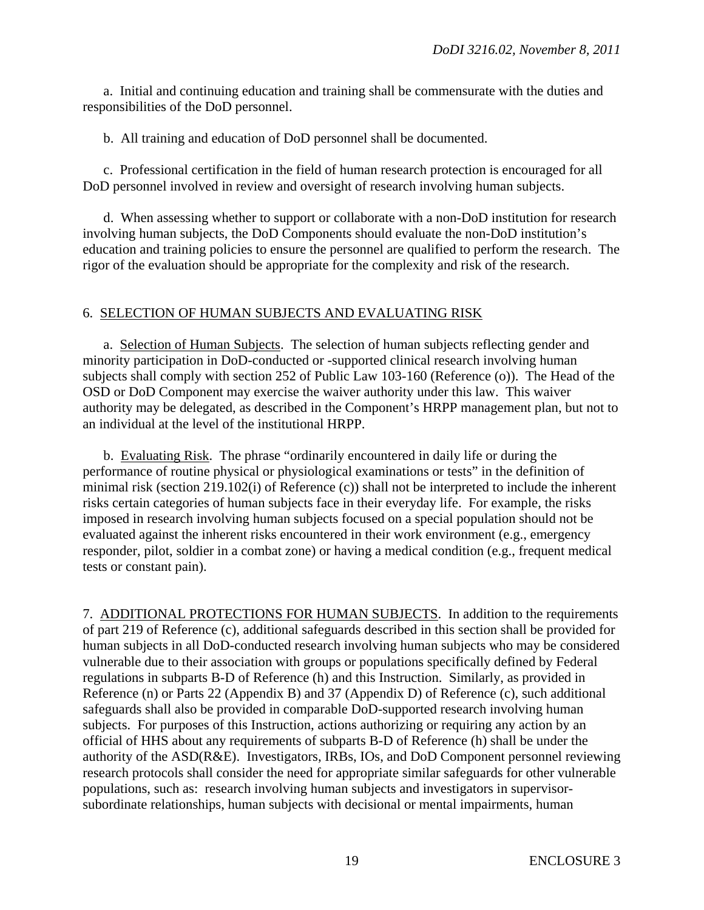a. Initial and continuing education and training shall be commensurate with the duties and responsibilities of the DoD personnel.

b. All training and education of DoD personnel shall be documented.

 c. Professional certification in the field of human research protection is encouraged for all DoD personnel involved in review and oversight of research involving human subjects.

 d. When assessing whether to support or collaborate with a non-DoD institution for research involving human subjects, the DoD Components should evaluate the non-DoD institution's education and training policies to ensure the personnel are qualified to perform the research. The rigor of the evaluation should be appropriate for the complexity and risk of the research.

#### 6. SELECTION OF HUMAN SUBJECTS AND EVALUATING RISK

 a. Selection of Human Subjects. The selection of human subjects reflecting gender and minority participation in DoD-conducted or -supported clinical research involving human subjects shall comply with section 252 of Public Law 103-160 (Reference (o)). The Head of the OSD or DoD Component may exercise the waiver authority under this law. This waiver authority may be delegated, as described in the Component's HRPP management plan, but not to an individual at the level of the institutional HRPP.

 b. Evaluating Risk. The phrase "ordinarily encountered in daily life or during the performance of routine physical or physiological examinations or tests" in the definition of minimal risk (section 219.102(i) of Reference (c)) shall not be interpreted to include the inherent risks certain categories of human subjects face in their everyday life. For example, the risks imposed in research involving human subjects focused on a special population should not be evaluated against the inherent risks encountered in their work environment (e.g., emergency responder, pilot, soldier in a combat zone) or having a medical condition (e.g., frequent medical tests or constant pain).

7. ADDITIONAL PROTECTIONS FOR HUMAN SUBJECTS. In addition to the requirements of part 219 of Reference (c), additional safeguards described in this section shall be provided for human subjects in all DoD-conducted research involving human subjects who may be considered vulnerable due to their association with groups or populations specifically defined by Federal regulations in subparts B-D of Reference (h) and this Instruction. Similarly, as provided in Reference (n) or Parts 22 (Appendix B) and 37 (Appendix D) of Reference (c), such additional safeguards shall also be provided in comparable DoD-supported research involving human subjects. For purposes of this Instruction, actions authorizing or requiring any action by an official of HHS about any requirements of subparts B-D of Reference (h) shall be under the authority of the ASD(R&E). Investigators, IRBs, IOs, and DoD Component personnel reviewing research protocols shall consider the need for appropriate similar safeguards for other vulnerable populations, such as: research involving human subjects and investigators in supervisorsubordinate relationships, human subjects with decisional or mental impairments, human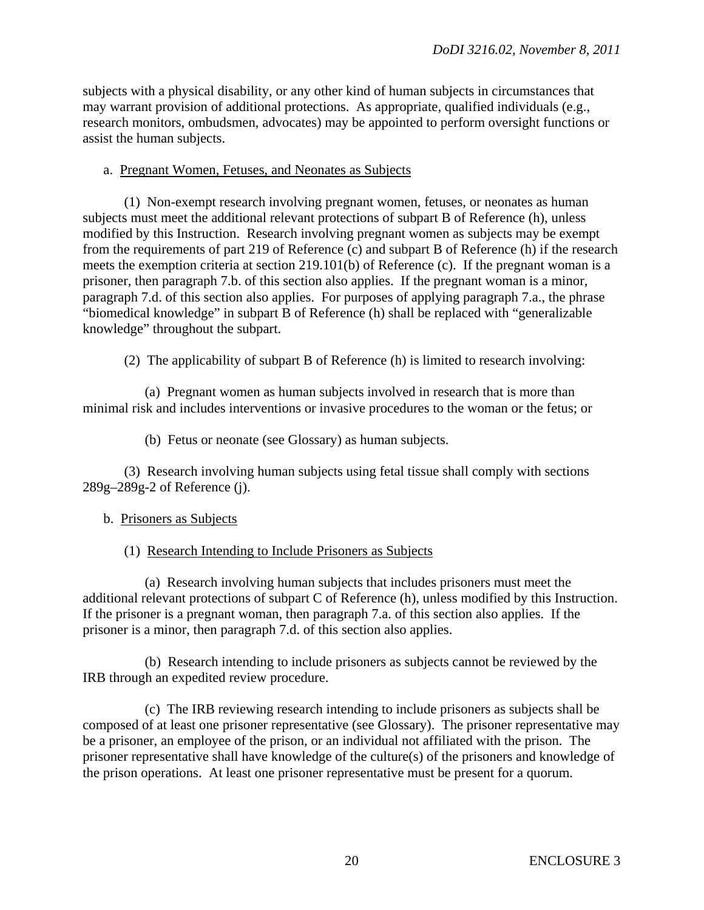subjects with a physical disability, or any other kind of human subjects in circumstances that may warrant provision of additional protections. As appropriate, qualified individuals (e.g., research monitors, ombudsmen, advocates) may be appointed to perform oversight functions or assist the human subjects.

#### a. Pregnant Women, Fetuses, and Neonates as Subjects

 (1) Non-exempt research involving pregnant women, fetuses, or neonates as human subjects must meet the additional relevant protections of subpart B of Reference (h), unless modified by this Instruction. Research involving pregnant women as subjects may be exempt from the requirements of part 219 of Reference (c) and subpart B of Reference (h) if the research meets the exemption criteria at section 219.101(b) of Reference (c). If the pregnant woman is a prisoner, then paragraph 7.b. of this section also applies. If the pregnant woman is a minor, paragraph 7.d. of this section also applies. For purposes of applying paragraph 7.a., the phrase "biomedical knowledge" in subpart B of Reference (h) shall be replaced with "generalizable knowledge" throughout the subpart.

(2) The applicability of subpart B of Reference (h) is limited to research involving:

 (a) Pregnant women as human subjects involved in research that is more than minimal risk and includes interventions or invasive procedures to the woman or the fetus; or

(b) Fetus or neonate (see Glossary) as human subjects.

 (3) Research involving human subjects using fetal tissue shall comply with sections 289g–289g-2 of Reference (j).

#### b. Prisoners as Subjects

(1) Research Intending to Include Prisoners as Subjects

 (a) Research involving human subjects that includes prisoners must meet the additional relevant protections of subpart C of Reference (h), unless modified by this Instruction. If the prisoner is a pregnant woman, then paragraph 7.a. of this section also applies. If the prisoner is a minor, then paragraph 7.d. of this section also applies.

 (b) Research intending to include prisoners as subjects cannot be reviewed by the IRB through an expedited review procedure.

 (c) The IRB reviewing research intending to include prisoners as subjects shall be composed of at least one prisoner representative (see Glossary). The prisoner representative may be a prisoner, an employee of the prison, or an individual not affiliated with the prison. The prisoner representative shall have knowledge of the culture(s) of the prisoners and knowledge of the prison operations. At least one prisoner representative must be present for a quorum.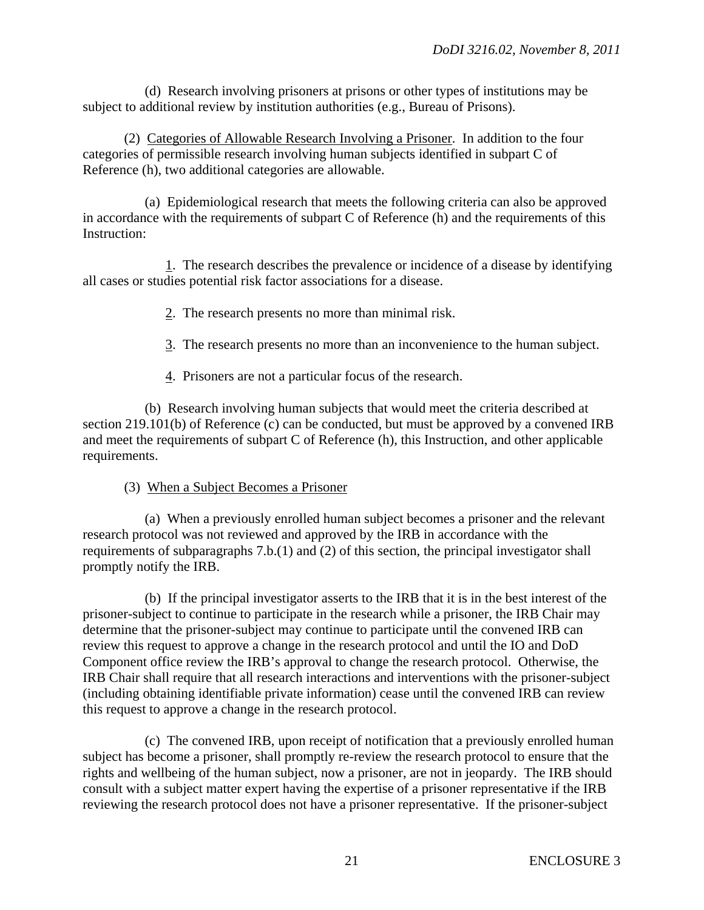(d) Research involving prisoners at prisons or other types of institutions may be subject to additional review by institution authorities (e.g., Bureau of Prisons).

 (2) Categories of Allowable Research Involving a Prisoner. In addition to the four categories of permissible research involving human subjects identified in subpart C of Reference (h), two additional categories are allowable.

 (a) Epidemiological research that meets the following criteria can also be approved in accordance with the requirements of subpart C of Reference (h) and the requirements of this Instruction:

 1. The research describes the prevalence or incidence of a disease by identifying all cases or studies potential risk factor associations for a disease.

2. The research presents no more than minimal risk.

3. The research presents no more than an inconvenience to the human subject.

4. Prisoners are not a particular focus of the research.

 (b) Research involving human subjects that would meet the criteria described at section 219.101(b) of Reference (c) can be conducted, but must be approved by a convened IRB and meet the requirements of subpart C of Reference (h), this Instruction, and other applicable requirements.

#### (3) When a Subject Becomes a Prisoner

 (a) When a previously enrolled human subject becomes a prisoner and the relevant research protocol was not reviewed and approved by the IRB in accordance with the requirements of subparagraphs 7.b.(1) and (2) of this section, the principal investigator shall promptly notify the IRB.

 (b) If the principal investigator asserts to the IRB that it is in the best interest of the prisoner-subject to continue to participate in the research while a prisoner, the IRB Chair may determine that the prisoner-subject may continue to participate until the convened IRB can review this request to approve a change in the research protocol and until the IO and DoD Component office review the IRB's approval to change the research protocol. Otherwise, the IRB Chair shall require that all research interactions and interventions with the prisoner-subject (including obtaining identifiable private information) cease until the convened IRB can review this request to approve a change in the research protocol.

 (c) The convened IRB, upon receipt of notification that a previously enrolled human subject has become a prisoner, shall promptly re-review the research protocol to ensure that the rights and wellbeing of the human subject, now a prisoner, are not in jeopardy. The IRB should consult with a subject matter expert having the expertise of a prisoner representative if the IRB reviewing the research protocol does not have a prisoner representative. If the prisoner-subject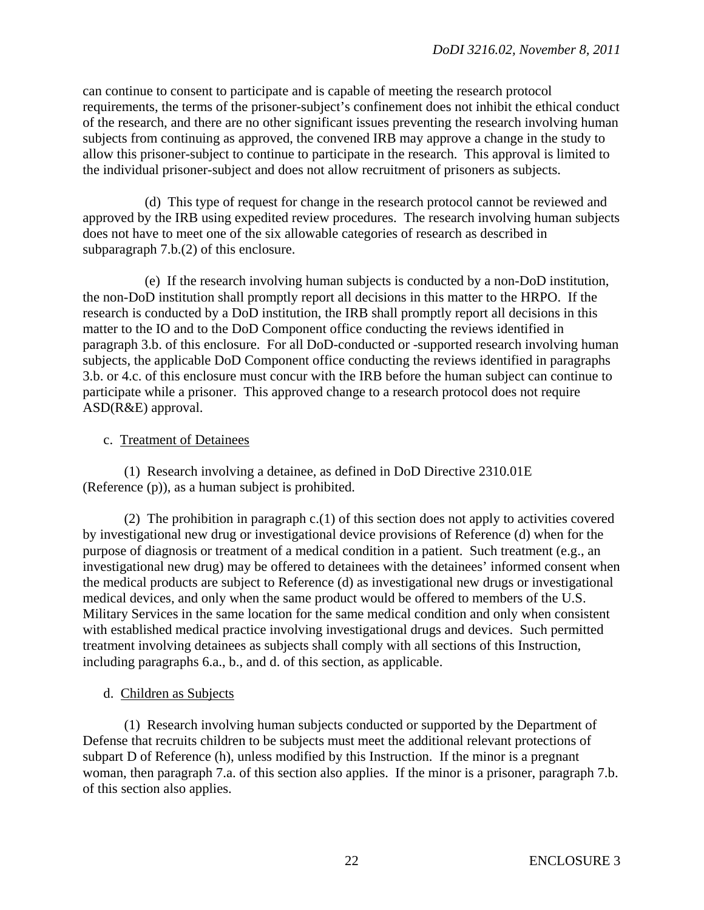can continue to consent to participate and is capable of meeting the research protocol requirements, the terms of the prisoner-subject's confinement does not inhibit the ethical conduct of the research, and there are no other significant issues preventing the research involving human subjects from continuing as approved, the convened IRB may approve a change in the study to allow this prisoner-subject to continue to participate in the research. This approval is limited to the individual prisoner-subject and does not allow recruitment of prisoners as subjects.

 (d) This type of request for change in the research protocol cannot be reviewed and approved by the IRB using expedited review procedures. The research involving human subjects does not have to meet one of the six allowable categories of research as described in subparagraph 7.b.(2) of this enclosure.

 (e) If the research involving human subjects is conducted by a non-DoD institution, the non-DoD institution shall promptly report all decisions in this matter to the HRPO. If the research is conducted by a DoD institution, the IRB shall promptly report all decisions in this matter to the IO and to the DoD Component office conducting the reviews identified in paragraph 3.b. of this enclosure. For all DoD-conducted or -supported research involving human subjects, the applicable DoD Component office conducting the reviews identified in paragraphs 3.b. or 4.c. of this enclosure must concur with the IRB before the human subject can continue to participate while a prisoner. This approved change to a research protocol does not require ASD(R&E) approval.

#### c. Treatment of Detainees

 (1) Research involving a detainee, as defined in DoD Directive 2310.01E (Reference (p)), as a human subject is prohibited.

 (2) The prohibition in paragraph c.(1) of this section does not apply to activities covered by investigational new drug or investigational device provisions of Reference (d) when for the purpose of diagnosis or treatment of a medical condition in a patient. Such treatment (e.g., an investigational new drug) may be offered to detainees with the detainees' informed consent when the medical products are subject to Reference (d) as investigational new drugs or investigational medical devices, and only when the same product would be offered to members of the U.S. Military Services in the same location for the same medical condition and only when consistent with established medical practice involving investigational drugs and devices. Such permitted treatment involving detainees as subjects shall comply with all sections of this Instruction, including paragraphs 6.a., b., and d. of this section, as applicable.

#### d. Children as Subjects

 (1) Research involving human subjects conducted or supported by the Department of Defense that recruits children to be subjects must meet the additional relevant protections of subpart D of Reference (h), unless modified by this Instruction. If the minor is a pregnant woman, then paragraph 7.a. of this section also applies. If the minor is a prisoner, paragraph 7.b. of this section also applies.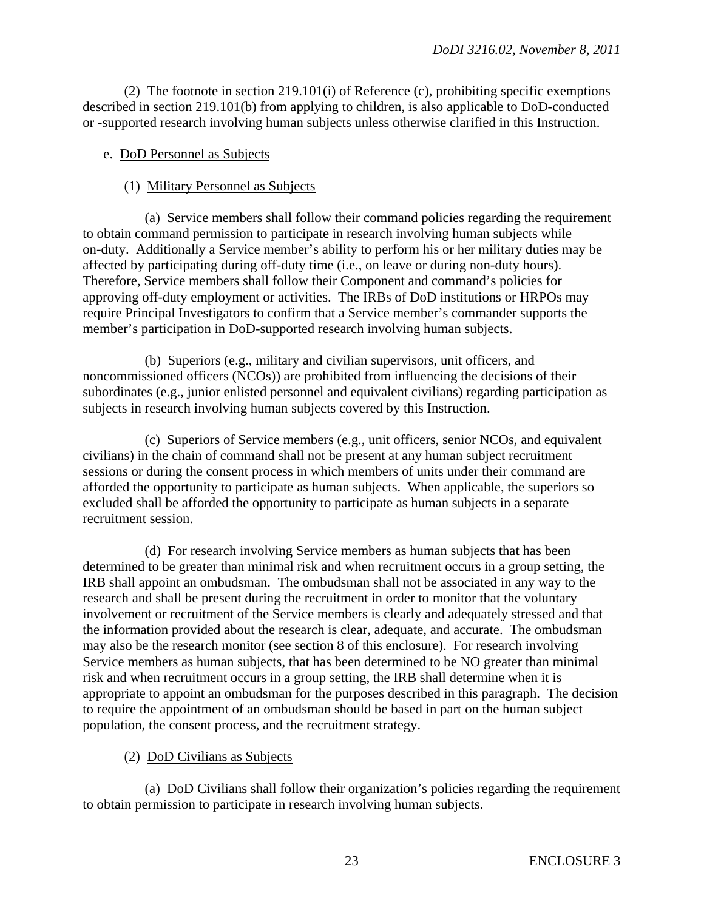(2) The footnote in section 219.101(i) of Reference (c), prohibiting specific exemptions described in section 219.101(b) from applying to children, is also applicable to DoD-conducted or -supported research involving human subjects unless otherwise clarified in this Instruction.

#### e. DoD Personnel as Subjects

#### (1) Military Personnel as Subjects

 (a) Service members shall follow their command policies regarding the requirement to obtain command permission to participate in research involving human subjects while on-duty. Additionally a Service member's ability to perform his or her military duties may be affected by participating during off-duty time (i.e., on leave or during non-duty hours). Therefore, Service members shall follow their Component and command's policies for approving off-duty employment or activities. The IRBs of DoD institutions or HRPOs may require Principal Investigators to confirm that a Service member's commander supports the member's participation in DoD-supported research involving human subjects.

 (b) Superiors (e.g., military and civilian supervisors, unit officers, and noncommissioned officers (NCOs)) are prohibited from influencing the decisions of their subordinates (e.g., junior enlisted personnel and equivalent civilians) regarding participation as subjects in research involving human subjects covered by this Instruction.

 (c) Superiors of Service members (e.g., unit officers, senior NCOs, and equivalent civilians) in the chain of command shall not be present at any human subject recruitment sessions or during the consent process in which members of units under their command are afforded the opportunity to participate as human subjects. When applicable, the superiors so excluded shall be afforded the opportunity to participate as human subjects in a separate recruitment session.

 (d) For research involving Service members as human subjects that has been determined to be greater than minimal risk and when recruitment occurs in a group setting, the IRB shall appoint an ombudsman. The ombudsman shall not be associated in any way to the research and shall be present during the recruitment in order to monitor that the voluntary involvement or recruitment of the Service members is clearly and adequately stressed and that the information provided about the research is clear, adequate, and accurate. The ombudsman may also be the research monitor (see section 8 of this enclosure). For research involving Service members as human subjects, that has been determined to be NO greater than minimal risk and when recruitment occurs in a group setting, the IRB shall determine when it is appropriate to appoint an ombudsman for the purposes described in this paragraph. The decision to require the appointment of an ombudsman should be based in part on the human subject population, the consent process, and the recruitment strategy.

#### (2) DoD Civilians as Subjects

 (a) DoD Civilians shall follow their organization's policies regarding the requirement to obtain permission to participate in research involving human subjects.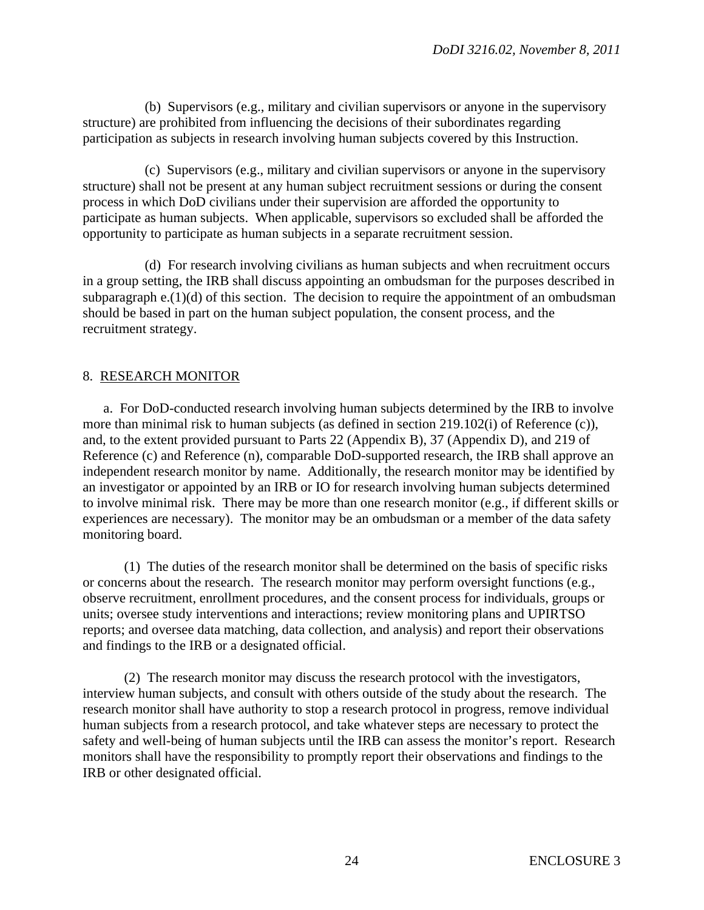(b) Supervisors (e.g., military and civilian supervisors or anyone in the supervisory structure) are prohibited from influencing the decisions of their subordinates regarding participation as subjects in research involving human subjects covered by this Instruction.

 (c) Supervisors (e.g., military and civilian supervisors or anyone in the supervisory structure) shall not be present at any human subject recruitment sessions or during the consent process in which DoD civilians under their supervision are afforded the opportunity to participate as human subjects. When applicable, supervisors so excluded shall be afforded the opportunity to participate as human subjects in a separate recruitment session.

 (d) For research involving civilians as human subjects and when recruitment occurs in a group setting, the IRB shall discuss appointing an ombudsman for the purposes described in subparagraph  $e.(1)(d)$  of this section. The decision to require the appointment of an ombudsman should be based in part on the human subject population, the consent process, and the recruitment strategy.

#### 8. RESEARCH MONITOR

 a. For DoD-conducted research involving human subjects determined by the IRB to involve more than minimal risk to human subjects (as defined in section 219.102(i) of Reference (c)), and, to the extent provided pursuant to Parts 22 (Appendix B), 37 (Appendix D), and 219 of Reference (c) and Reference (n), comparable DoD-supported research, the IRB shall approve an independent research monitor by name. Additionally, the research monitor may be identified by an investigator or appointed by an IRB or IO for research involving human subjects determined to involve minimal risk. There may be more than one research monitor (e.g., if different skills or experiences are necessary). The monitor may be an ombudsman or a member of the data safety monitoring board.

 (1) The duties of the research monitor shall be determined on the basis of specific risks or concerns about the research. The research monitor may perform oversight functions (e.g., observe recruitment, enrollment procedures, and the consent process for individuals, groups or units; oversee study interventions and interactions; review monitoring plans and UPIRTSO reports; and oversee data matching, data collection, and analysis) and report their observations and findings to the IRB or a designated official.

 (2) The research monitor may discuss the research protocol with the investigators, interview human subjects, and consult with others outside of the study about the research. The research monitor shall have authority to stop a research protocol in progress, remove individual human subjects from a research protocol, and take whatever steps are necessary to protect the safety and well-being of human subjects until the IRB can assess the monitor's report. Research monitors shall have the responsibility to promptly report their observations and findings to the IRB or other designated official.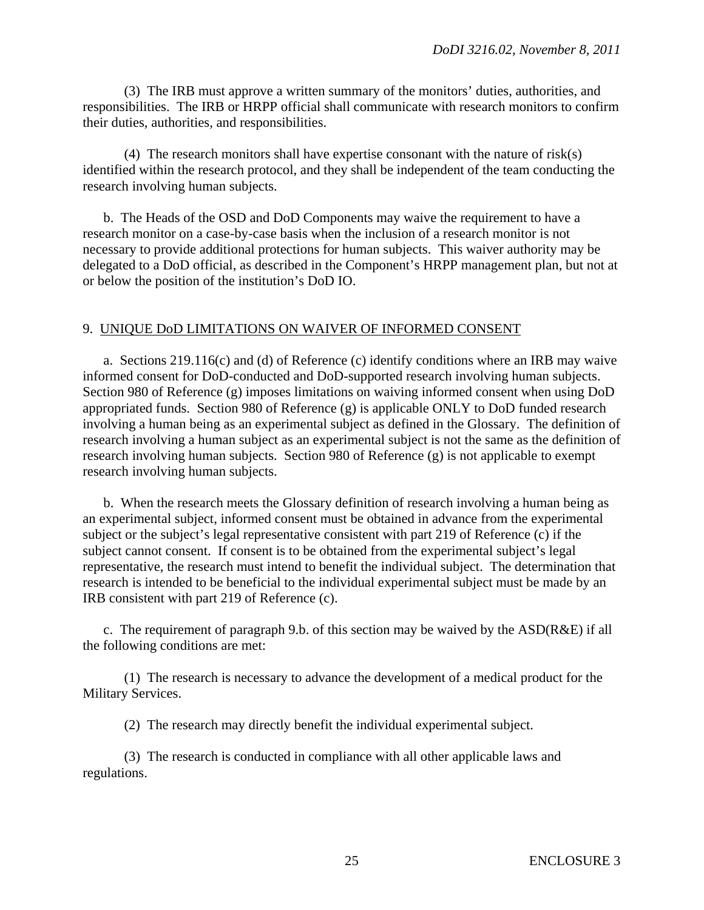(3) The IRB must approve a written summary of the monitors' duties, authorities, and responsibilities. The IRB or HRPP official shall communicate with research monitors to confirm their duties, authorities, and responsibilities.

 (4) The research monitors shall have expertise consonant with the nature of risk(s) identified within the research protocol, and they shall be independent of the team conducting the research involving human subjects.

 b. The Heads of the OSD and DoD Components may waive the requirement to have a research monitor on a case-by-case basis when the inclusion of a research monitor is not necessary to provide additional protections for human subjects. This waiver authority may be delegated to a DoD official, as described in the Component's HRPP management plan, but not at or below the position of the institution's DoD IO.

#### 9. UNIQUE DoD LIMITATIONS ON WAIVER OF INFORMED CONSENT

 a. Sections 219.116(c) and (d) of Reference (c) identify conditions where an IRB may waive informed consent for DoD-conducted and DoD-supported research involving human subjects. Section 980 of Reference (g) imposes limitations on waiving informed consent when using DoD appropriated funds. Section 980 of Reference (g) is applicable ONLY to DoD funded research involving a human being as an experimental subject as defined in the Glossary. The definition of research involving a human subject as an experimental subject is not the same as the definition of research involving human subjects. Section 980 of Reference (g) is not applicable to exempt research involving human subjects.

 b. When the research meets the Glossary definition of research involving a human being as an experimental subject, informed consent must be obtained in advance from the experimental subject or the subject's legal representative consistent with part 219 of Reference (c) if the subject cannot consent. If consent is to be obtained from the experimental subject's legal representative, the research must intend to benefit the individual subject. The determination that research is intended to be beneficial to the individual experimental subject must be made by an IRB consistent with part 219 of Reference (c).

 c. The requirement of paragraph 9.b. of this section may be waived by the ASD(R&E) if all the following conditions are met:

 (1) The research is necessary to advance the development of a medical product for the Military Services.

(2) The research may directly benefit the individual experimental subject.

 (3) The research is conducted in compliance with all other applicable laws and regulations.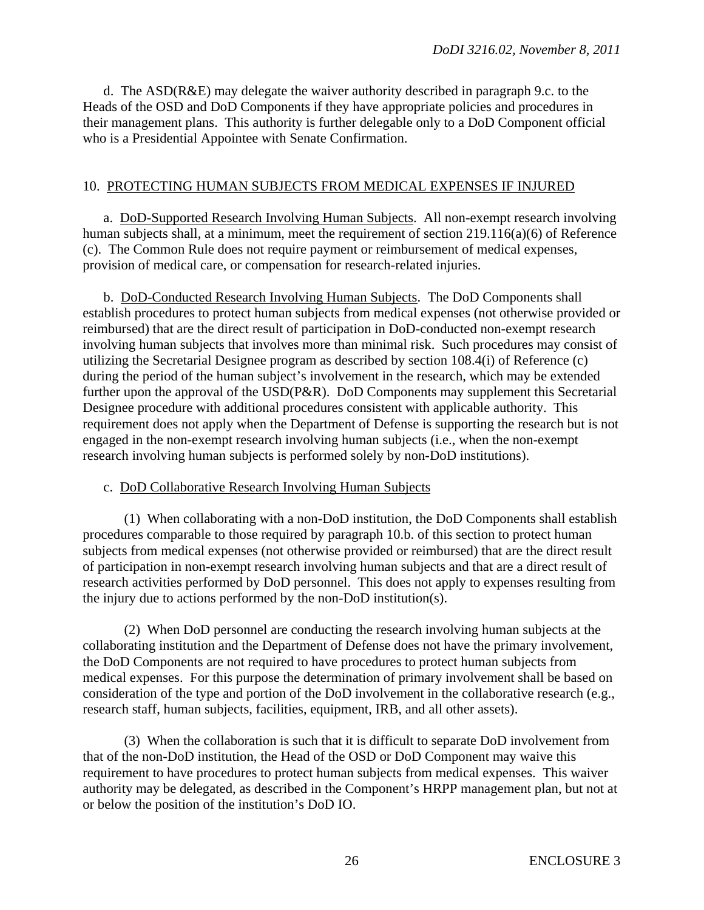d. The ASD(R&E) may delegate the waiver authority described in paragraph 9.c. to the Heads of the OSD and DoD Components if they have appropriate policies and procedures in their management plans. This authority is further delegable only to a DoD Component official who is a Presidential Appointee with Senate Confirmation.

#### 10. PROTECTING HUMAN SUBJECTS FROM MEDICAL EXPENSES IF INJURED

 a. DoD-Supported Research Involving Human Subjects. All non-exempt research involving human subjects shall, at a minimum, meet the requirement of section 219.116(a)(6) of Reference (c). The Common Rule does not require payment or reimbursement of medical expenses, provision of medical care, or compensation for research-related injuries.

 b. DoD-Conducted Research Involving Human Subjects. The DoD Components shall establish procedures to protect human subjects from medical expenses (not otherwise provided or reimbursed) that are the direct result of participation in DoD-conducted non-exempt research involving human subjects that involves more than minimal risk. Such procedures may consist of utilizing the Secretarial Designee program as described by section 108.4(i) of Reference (c) during the period of the human subject's involvement in the research, which may be extended further upon the approval of the USD(P&R). DoD Components may supplement this Secretarial Designee procedure with additional procedures consistent with applicable authority. This requirement does not apply when the Department of Defense is supporting the research but is not engaged in the non-exempt research involving human subjects (i.e., when the non-exempt research involving human subjects is performed solely by non-DoD institutions).

#### c. DoD Collaborative Research Involving Human Subjects

 (1) When collaborating with a non-DoD institution, the DoD Components shall establish procedures comparable to those required by paragraph 10.b. of this section to protect human subjects from medical expenses (not otherwise provided or reimbursed) that are the direct result of participation in non-exempt research involving human subjects and that are a direct result of research activities performed by DoD personnel. This does not apply to expenses resulting from the injury due to actions performed by the non-DoD institution(s).

 (2) When DoD personnel are conducting the research involving human subjects at the collaborating institution and the Department of Defense does not have the primary involvement, the DoD Components are not required to have procedures to protect human subjects from medical expenses. For this purpose the determination of primary involvement shall be based on consideration of the type and portion of the DoD involvement in the collaborative research (e.g., research staff, human subjects, facilities, equipment, IRB, and all other assets).

 (3) When the collaboration is such that it is difficult to separate DoD involvement from that of the non-DoD institution, the Head of the OSD or DoD Component may waive this requirement to have procedures to protect human subjects from medical expenses. This waiver authority may be delegated, as described in the Component's HRPP management plan, but not at or below the position of the institution's DoD IO.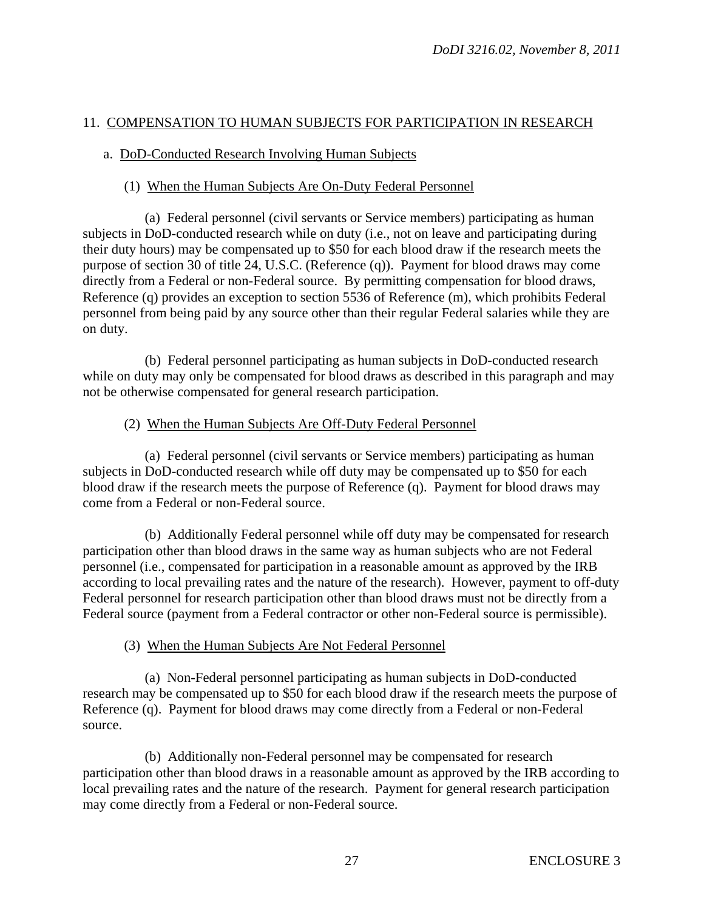## 11. COMPENSATION TO HUMAN SUBJECTS FOR PARTICIPATION IN RESEARCH

#### a. DoD-Conducted Research Involving Human Subjects

#### (1) When the Human Subjects Are On-Duty Federal Personnel

 (a) Federal personnel (civil servants or Service members) participating as human subjects in DoD-conducted research while on duty (i.e., not on leave and participating during their duty hours) may be compensated up to \$50 for each blood draw if the research meets the purpose of section 30 of title 24, U.S.C. (Reference (q)). Payment for blood draws may come directly from a Federal or non-Federal source. By permitting compensation for blood draws, Reference (q) provides an exception to section 5536 of Reference (m), which prohibits Federal personnel from being paid by any source other than their regular Federal salaries while they are on duty.

 (b) Federal personnel participating as human subjects in DoD-conducted research while on duty may only be compensated for blood draws as described in this paragraph and may not be otherwise compensated for general research participation.

#### (2) When the Human Subjects Are Off-Duty Federal Personnel

 (a) Federal personnel (civil servants or Service members) participating as human subjects in DoD-conducted research while off duty may be compensated up to \$50 for each blood draw if the research meets the purpose of Reference (q). Payment for blood draws may come from a Federal or non-Federal source.

 (b) Additionally Federal personnel while off duty may be compensated for research participation other than blood draws in the same way as human subjects who are not Federal personnel (i.e., compensated for participation in a reasonable amount as approved by the IRB according to local prevailing rates and the nature of the research). However, payment to off-duty Federal personnel for research participation other than blood draws must not be directly from a Federal source (payment from a Federal contractor or other non-Federal source is permissible).

#### (3) When the Human Subjects Are Not Federal Personnel

 (a) Non-Federal personnel participating as human subjects in DoD-conducted research may be compensated up to \$50 for each blood draw if the research meets the purpose of Reference (q). Payment for blood draws may come directly from a Federal or non-Federal source.

 (b) Additionally non-Federal personnel may be compensated for research participation other than blood draws in a reasonable amount as approved by the IRB according to local prevailing rates and the nature of the research. Payment for general research participation may come directly from a Federal or non-Federal source.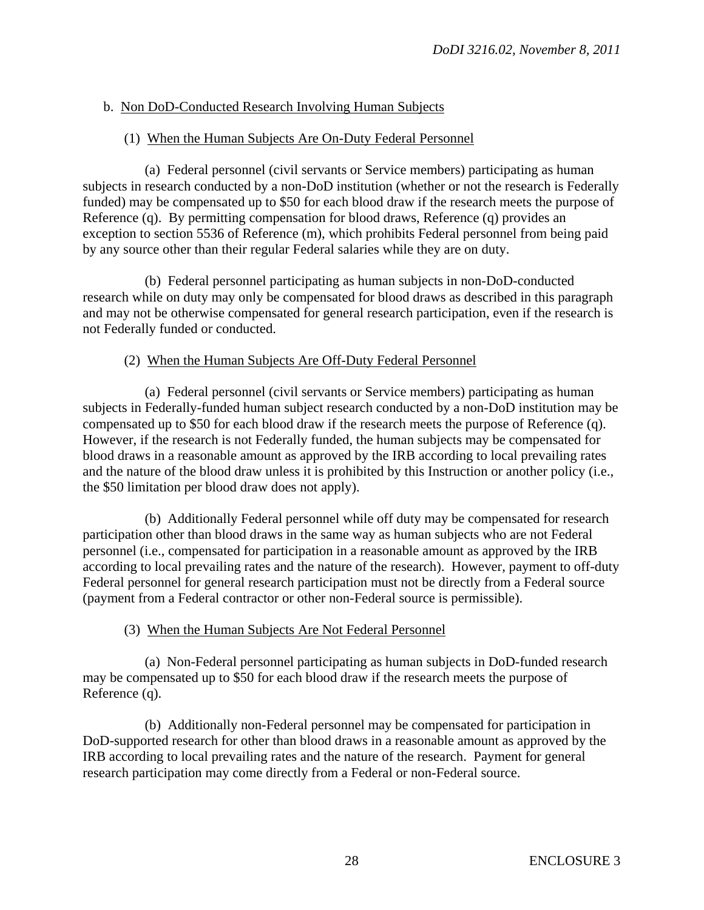#### b. Non DoD-Conducted Research Involving Human Subjects

#### (1) When the Human Subjects Are On-Duty Federal Personnel

 (a) Federal personnel (civil servants or Service members) participating as human subjects in research conducted by a non-DoD institution (whether or not the research is Federally funded) may be compensated up to \$50 for each blood draw if the research meets the purpose of Reference (q). By permitting compensation for blood draws, Reference (q) provides an exception to section 5536 of Reference (m), which prohibits Federal personnel from being paid by any source other than their regular Federal salaries while they are on duty.

 (b) Federal personnel participating as human subjects in non-DoD-conducted research while on duty may only be compensated for blood draws as described in this paragraph and may not be otherwise compensated for general research participation, even if the research is not Federally funded or conducted.

#### (2) When the Human Subjects Are Off-Duty Federal Personnel

 (a) Federal personnel (civil servants or Service members) participating as human subjects in Federally-funded human subject research conducted by a non-DoD institution may be compensated up to \$50 for each blood draw if the research meets the purpose of Reference (q). However, if the research is not Federally funded, the human subjects may be compensated for blood draws in a reasonable amount as approved by the IRB according to local prevailing rates and the nature of the blood draw unless it is prohibited by this Instruction or another policy (i.e., the \$50 limitation per blood draw does not apply).

 (b) Additionally Federal personnel while off duty may be compensated for research participation other than blood draws in the same way as human subjects who are not Federal personnel (i.e., compensated for participation in a reasonable amount as approved by the IRB according to local prevailing rates and the nature of the research). However, payment to off-duty Federal personnel for general research participation must not be directly from a Federal source (payment from a Federal contractor or other non-Federal source is permissible).

#### (3) When the Human Subjects Are Not Federal Personnel

 (a) Non-Federal personnel participating as human subjects in DoD-funded research may be compensated up to \$50 for each blood draw if the research meets the purpose of Reference (q).

 (b) Additionally non-Federal personnel may be compensated for participation in DoD-supported research for other than blood draws in a reasonable amount as approved by the IRB according to local prevailing rates and the nature of the research. Payment for general research participation may come directly from a Federal or non-Federal source.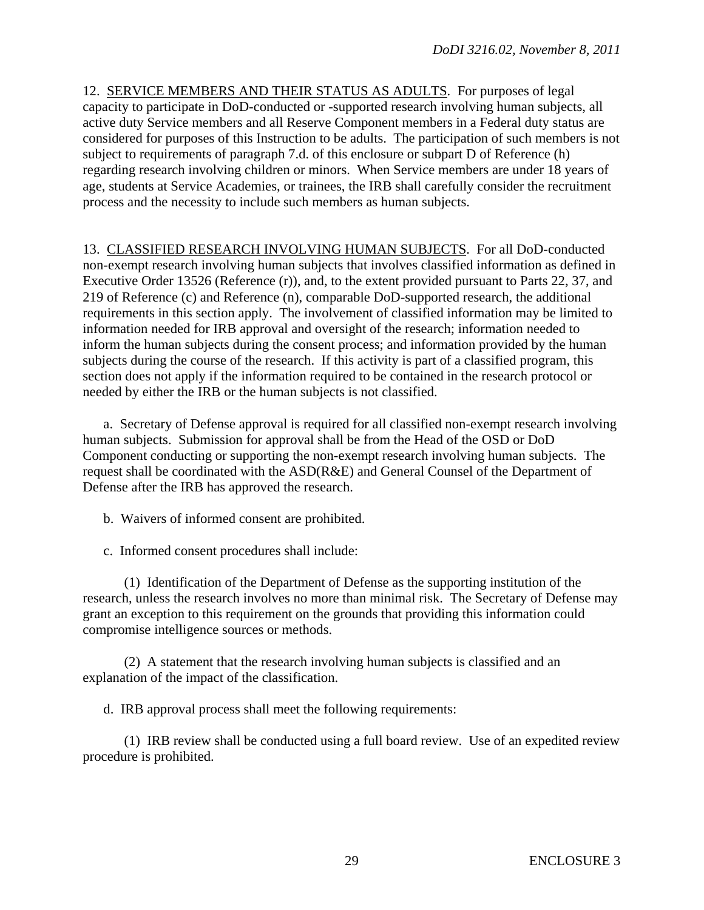12. SERVICE MEMBERS AND THEIR STATUS AS ADULTS. For purposes of legal capacity to participate in DoD-conducted or -supported research involving human subjects, all active duty Service members and all Reserve Component members in a Federal duty status are considered for purposes of this Instruction to be adults. The participation of such members is not subject to requirements of paragraph 7.d. of this enclosure or subpart D of Reference (h) regarding research involving children or minors. When Service members are under 18 years of age, students at Service Academies, or trainees, the IRB shall carefully consider the recruitment process and the necessity to include such members as human subjects.

13. CLASSIFIED RESEARCH INVOLVING HUMAN SUBJECTS. For all DoD-conducted non-exempt research involving human subjects that involves classified information as defined in Executive Order 13526 (Reference (r)), and, to the extent provided pursuant to Parts 22, 37, and 219 of Reference (c) and Reference (n), comparable DoD-supported research, the additional requirements in this section apply. The involvement of classified information may be limited to information needed for IRB approval and oversight of the research; information needed to inform the human subjects during the consent process; and information provided by the human subjects during the course of the research. If this activity is part of a classified program, this section does not apply if the information required to be contained in the research protocol or needed by either the IRB or the human subjects is not classified.

 a. Secretary of Defense approval is required for all classified non-exempt research involving human subjects. Submission for approval shall be from the Head of the OSD or DoD Component conducting or supporting the non-exempt research involving human subjects. The request shall be coordinated with the ASD(R&E) and General Counsel of the Department of Defense after the IRB has approved the research.

- b. Waivers of informed consent are prohibited.
- c. Informed consent procedures shall include:

 (1) Identification of the Department of Defense as the supporting institution of the research, unless the research involves no more than minimal risk. The Secretary of Defense may grant an exception to this requirement on the grounds that providing this information could compromise intelligence sources or methods.

 (2) A statement that the research involving human subjects is classified and an explanation of the impact of the classification.

d. IRB approval process shall meet the following requirements:

 (1) IRB review shall be conducted using a full board review. Use of an expedited review procedure is prohibited.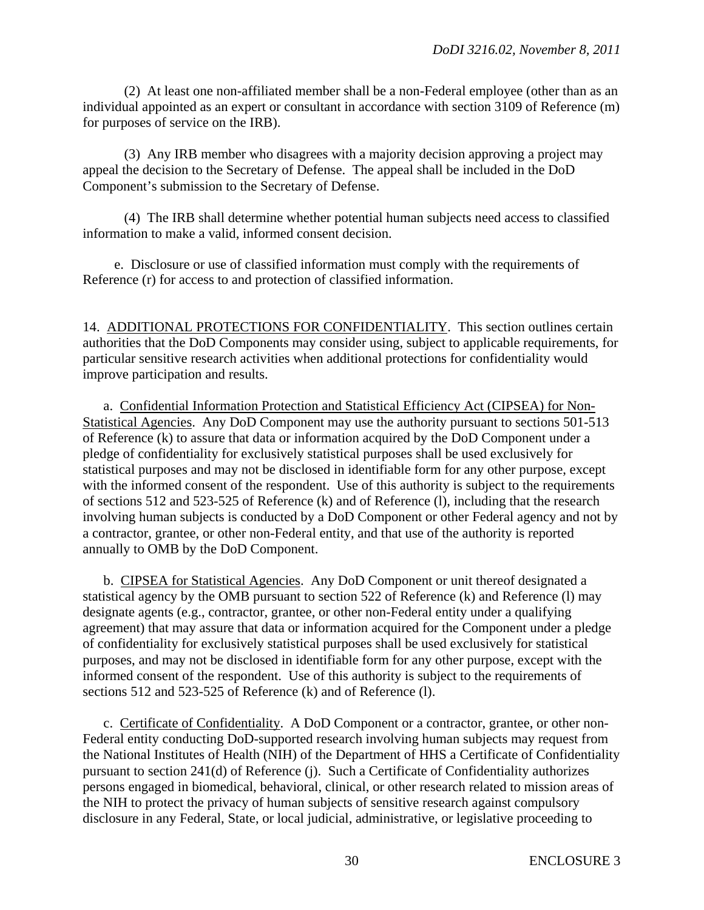(2) At least one non-affiliated member shall be a non-Federal employee (other than as an individual appointed as an expert or consultant in accordance with section 3109 of Reference (m) for purposes of service on the IRB).

 (3) Any IRB member who disagrees with a majority decision approving a project may appeal the decision to the Secretary of Defense. The appeal shall be included in the DoD Component's submission to the Secretary of Defense.

 (4) The IRB shall determine whether potential human subjects need access to classified information to make a valid, informed consent decision.

 e. Disclosure or use of classified information must comply with the requirements of Reference (r) for access to and protection of classified information.

14. ADDITIONAL PROTECTIONS FOR CONFIDENTIALITY. This section outlines certain authorities that the DoD Components may consider using, subject to applicable requirements, for particular sensitive research activities when additional protections for confidentiality would improve participation and results.

 a. Confidential Information Protection and Statistical Efficiency Act (CIPSEA) for Non-Statistical Agencies. Any DoD Component may use the authority pursuant to sections 501-513 of Reference (k) to assure that data or information acquired by the DoD Component under a pledge of confidentiality for exclusively statistical purposes shall be used exclusively for statistical purposes and may not be disclosed in identifiable form for any other purpose, except with the informed consent of the respondent. Use of this authority is subject to the requirements of sections 512 and 523-525 of Reference (k) and of Reference (l), including that the research involving human subjects is conducted by a DoD Component or other Federal agency and not by a contractor, grantee, or other non-Federal entity, and that use of the authority is reported annually to OMB by the DoD Component.

b. CIPSEA for Statistical Agencies. Any DoD Component or unit thereof designated a statistical agency by the OMB pursuant to section 522 of Reference (k) and Reference (l) may designate agents (e.g., contractor, grantee, or other non-Federal entity under a qualifying agreement) that may assure that data or information acquired for the Component under a pledge of confidentiality for exclusively statistical purposes shall be used exclusively for statistical purposes, and may not be disclosed in identifiable form for any other purpose, except with the informed consent of the respondent. Use of this authority is subject to the requirements of sections 512 and 523-525 of Reference (k) and of Reference (l).

 c. Certificate of Confidentiality. A DoD Component or a contractor, grantee, or other non-Federal entity conducting DoD-supported research involving human subjects may request from the National Institutes of Health (NIH) of the Department of HHS a Certificate of Confidentiality pursuant to section 241(d) of Reference (j). Such a Certificate of Confidentiality authorizes persons engaged in biomedical, behavioral, clinical, or other research related to mission areas of the NIH to protect the privacy of human subjects of sensitive research against compulsory disclosure in any Federal, State, or local judicial, administrative, or legislative proceeding to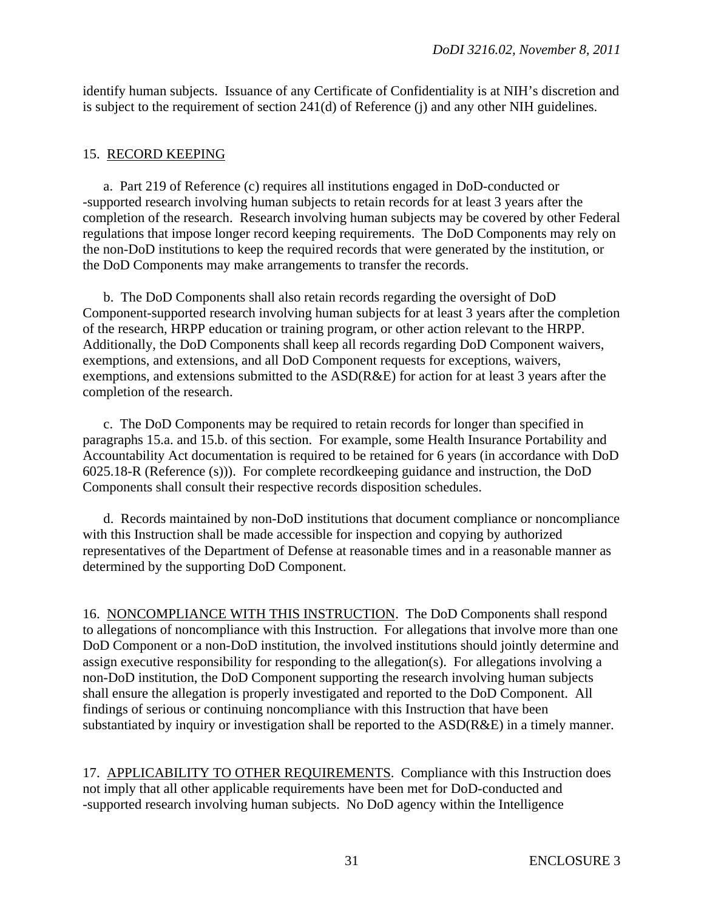identify human subjects. Issuance of any Certificate of Confidentiality is at NIH's discretion and is subject to the requirement of section 241(d) of Reference (j) and any other NIH guidelines.

#### 15. RECORD KEEPING

 a. Part 219 of Reference (c) requires all institutions engaged in DoD-conducted or -supported research involving human subjects to retain records for at least 3 years after the completion of the research. Research involving human subjects may be covered by other Federal regulations that impose longer record keeping requirements. The DoD Components may rely on the non-DoD institutions to keep the required records that were generated by the institution, or the DoD Components may make arrangements to transfer the records.

 b. The DoD Components shall also retain records regarding the oversight of DoD Component-supported research involving human subjects for at least 3 years after the completion of the research, HRPP education or training program, or other action relevant to the HRPP. Additionally, the DoD Components shall keep all records regarding DoD Component waivers, exemptions, and extensions, and all DoD Component requests for exceptions, waivers, exemptions, and extensions submitted to the ASD(R&E) for action for at least 3 years after the completion of the research.

 c. The DoD Components may be required to retain records for longer than specified in paragraphs 15.a. and 15.b. of this section. For example, some Health Insurance Portability and Accountability Act documentation is required to be retained for 6 years (in accordance with DoD 6025.18-R (Reference (s))). For complete recordkeeping guidance and instruction, the DoD Components shall consult their respective records disposition schedules.

 d. Records maintained by non-DoD institutions that document compliance or noncompliance with this Instruction shall be made accessible for inspection and copying by authorized representatives of the Department of Defense at reasonable times and in a reasonable manner as determined by the supporting DoD Component.

16. NONCOMPLIANCE WITH THIS INSTRUCTION. The DoD Components shall respond to allegations of noncompliance with this Instruction. For allegations that involve more than one DoD Component or a non-DoD institution, the involved institutions should jointly determine and assign executive responsibility for responding to the allegation(s). For allegations involving a non-DoD institution, the DoD Component supporting the research involving human subjects shall ensure the allegation is properly investigated and reported to the DoD Component. All findings of serious or continuing noncompliance with this Instruction that have been substantiated by inquiry or investigation shall be reported to the ASD(R&E) in a timely manner.

17. APPLICABILITY TO OTHER REQUIREMENTS. Compliance with this Instruction does not imply that all other applicable requirements have been met for DoD-conducted and -supported research involving human subjects. No DoD agency within the Intelligence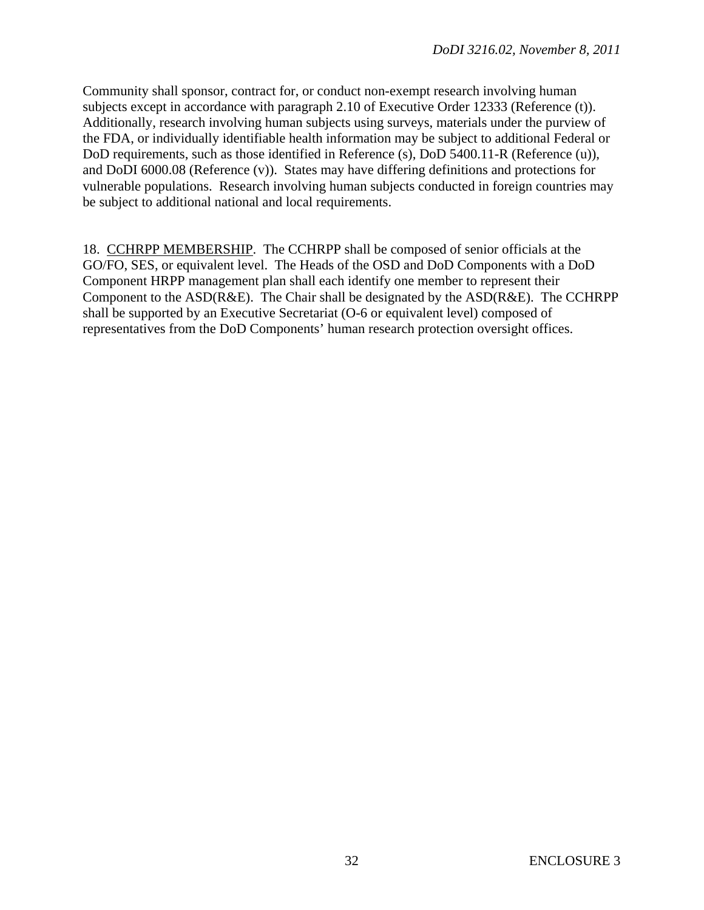Community shall sponsor, contract for, or conduct non-exempt research involving human subjects except in accordance with paragraph 2.10 of Executive Order 12333 (Reference (t)). Additionally, research involving human subjects using surveys, materials under the purview of the FDA, or individually identifiable health information may be subject to additional Federal or DoD requirements, such as those identified in Reference (s), DoD 5400.11-R (Reference (u)), and DoDI 6000.08 (Reference (v)). States may have differing definitions and protections for vulnerable populations. Research involving human subjects conducted in foreign countries may be subject to additional national and local requirements.

18. CCHRPP MEMBERSHIP. The CCHRPP shall be composed of senior officials at the GO/FO, SES, or equivalent level. The Heads of the OSD and DoD Components with a DoD Component HRPP management plan shall each identify one member to represent their Component to the ASD(R&E). The Chair shall be designated by the ASD(R&E). The CCHRPP shall be supported by an Executive Secretariat (O-6 or equivalent level) composed of representatives from the DoD Components' human research protection oversight offices.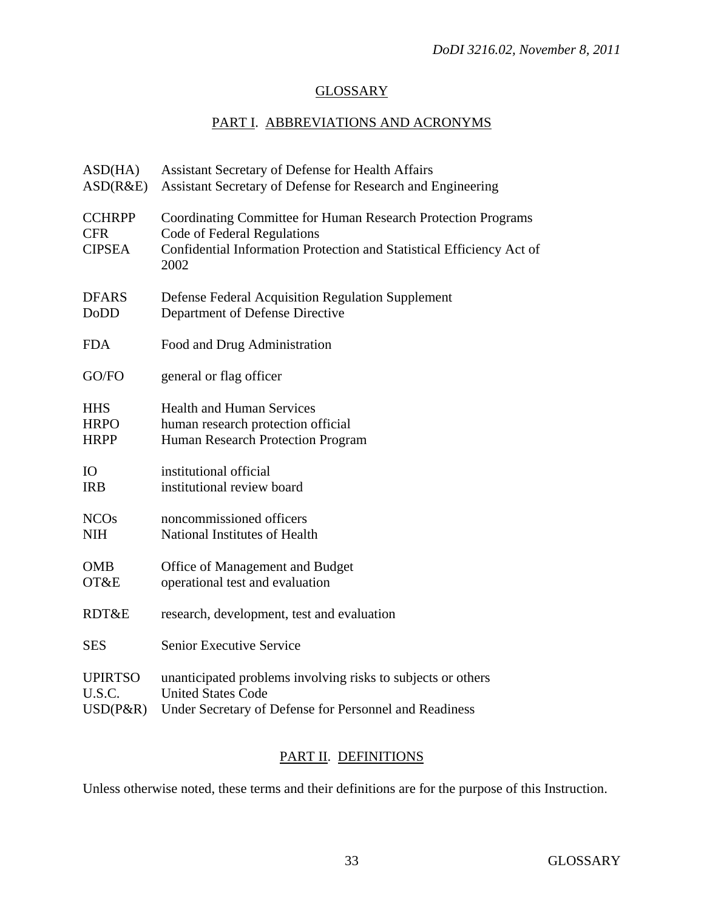# **GLOSSARY**

# PART I. ABBREVIATIONS AND ACRONYMS

| ASD(HA)                                      | Assistant Secretary of Defense for Health Affairs                                                                                                                             |
|----------------------------------------------|-------------------------------------------------------------------------------------------------------------------------------------------------------------------------------|
| ASD(R&E)                                     | Assistant Secretary of Defense for Research and Engineering                                                                                                                   |
| <b>CCHRPP</b><br><b>CFR</b><br><b>CIPSEA</b> | Coordinating Committee for Human Research Protection Programs<br>Code of Federal Regulations<br>Confidential Information Protection and Statistical Efficiency Act of<br>2002 |
| <b>DFARS</b>                                 | Defense Federal Acquisition Regulation Supplement                                                                                                                             |
| DoDD                                         | Department of Defense Directive                                                                                                                                               |
| <b>FDA</b>                                   | Food and Drug Administration                                                                                                                                                  |
| GO/FO                                        | general or flag officer                                                                                                                                                       |
| <b>HHS</b>                                   | <b>Health and Human Services</b>                                                                                                                                              |
| <b>HRPO</b>                                  | human research protection official                                                                                                                                            |
| <b>HRPP</b>                                  | Human Research Protection Program                                                                                                                                             |
| <b>IO</b>                                    | institutional official                                                                                                                                                        |
| <b>IRB</b>                                   | institutional review board                                                                                                                                                    |
| <b>NCOs</b>                                  | noncommissioned officers                                                                                                                                                      |
| <b>NIH</b>                                   | National Institutes of Health                                                                                                                                                 |
| <b>OMB</b>                                   | Office of Management and Budget                                                                                                                                               |
| OT&E                                         | operational test and evaluation                                                                                                                                               |
| RDT&E                                        | research, development, test and evaluation                                                                                                                                    |
| <b>SES</b>                                   | <b>Senior Executive Service</b>                                                                                                                                               |
| <b>UPIRTSO</b>                               | unanticipated problems involving risks to subjects or others                                                                                                                  |
| U.S.C.                                       | <b>United States Code</b>                                                                                                                                                     |
| $USD(P\&R)$                                  | Under Secretary of Defense for Personnel and Readiness                                                                                                                        |

## PART II. DEFINITIONS

Unless otherwise noted, these terms and their definitions are for the purpose of this Instruction.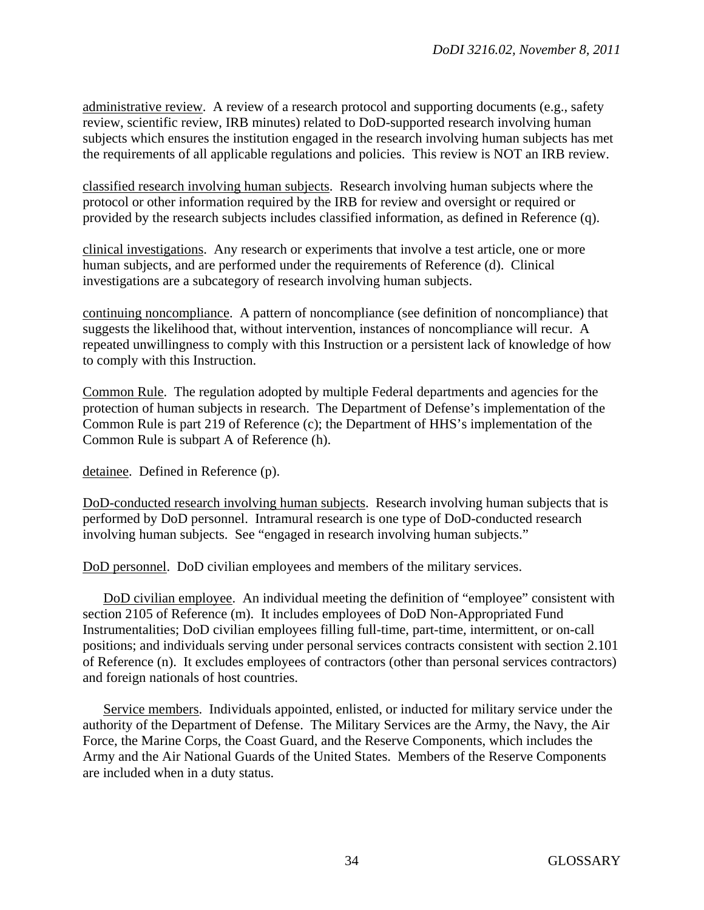administrative review. A review of a research protocol and supporting documents (e.g., safety review, scientific review, IRB minutes) related to DoD-supported research involving human subjects which ensures the institution engaged in the research involving human subjects has met the requirements of all applicable regulations and policies. This review is NOT an IRB review.

classified research involving human subjects. Research involving human subjects where the protocol or other information required by the IRB for review and oversight or required or provided by the research subjects includes classified information, as defined in Reference (q).

clinical investigations. Any research or experiments that involve a test article, one or more human subjects, and are performed under the requirements of Reference (d). Clinical investigations are a subcategory of research involving human subjects.

continuing noncompliance. A pattern of noncompliance (see definition of noncompliance) that suggests the likelihood that, without intervention, instances of noncompliance will recur. A repeated unwillingness to comply with this Instruction or a persistent lack of knowledge of how to comply with this Instruction.

Common Rule. The regulation adopted by multiple Federal departments and agencies for the protection of human subjects in research. The Department of Defense's implementation of the Common Rule is part 219 of Reference (c); the Department of HHS's implementation of the Common Rule is subpart A of Reference (h).

detainee. Defined in Reference (p).

DoD-conducted research involving human subjects. Research involving human subjects that is performed by DoD personnel. Intramural research is one type of DoD-conducted research involving human subjects. See "engaged in research involving human subjects."

DoD personnel. DoD civilian employees and members of the military services.

DoD civilian employee. An individual meeting the definition of "employee" consistent with section 2105 of Reference (m). It includes employees of DoD Non-Appropriated Fund Instrumentalities; DoD civilian employees filling full-time, part-time, intermittent, or on-call positions; and individuals serving under personal services contracts consistent with section 2.101 of Reference (n). It excludes employees of contractors (other than personal services contractors) and foreign nationals of host countries.

Service members. Individuals appointed, enlisted, or inducted for military service under the authority of the Department of Defense. The Military Services are the Army, the Navy, the Air Force, the Marine Corps, the Coast Guard, and the Reserve Components, which includes the Army and the Air National Guards of the United States. Members of the Reserve Components are included when in a duty status.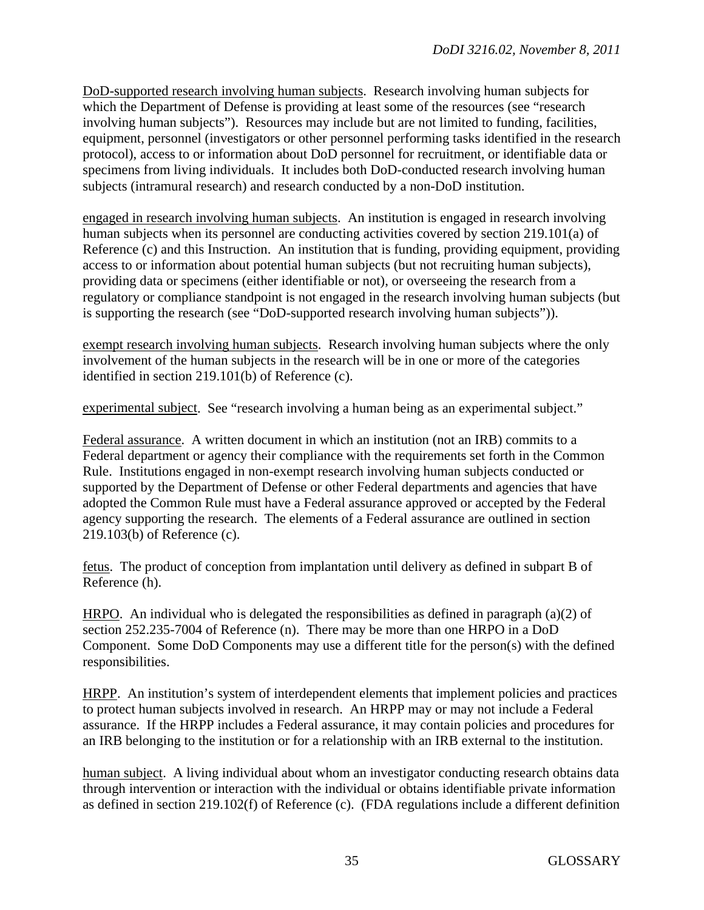DoD-supported research involving human subjects. Research involving human subjects for which the Department of Defense is providing at least some of the resources (see "research involving human subjects"). Resources may include but are not limited to funding, facilities, equipment, personnel (investigators or other personnel performing tasks identified in the research protocol), access to or information about DoD personnel for recruitment, or identifiable data or specimens from living individuals. It includes both DoD-conducted research involving human subjects (intramural research) and research conducted by a non-DoD institution.

engaged in research involving human subjects. An institution is engaged in research involving human subjects when its personnel are conducting activities covered by section 219.101(a) of Reference (c) and this Instruction. An institution that is funding, providing equipment, providing access to or information about potential human subjects (but not recruiting human subjects), providing data or specimens (either identifiable or not), or overseeing the research from a regulatory or compliance standpoint is not engaged in the research involving human subjects (but is supporting the research (see "DoD-supported research involving human subjects")).

exempt research involving human subjects. Research involving human subjects where the only involvement of the human subjects in the research will be in one or more of the categories identified in section 219.101(b) of Reference (c).

experimental subject. See "research involving a human being as an experimental subject."

Federal assurance. A written document in which an institution (not an IRB) commits to a Federal department or agency their compliance with the requirements set forth in the Common Rule. Institutions engaged in non-exempt research involving human subjects conducted or supported by the Department of Defense or other Federal departments and agencies that have adopted the Common Rule must have a Federal assurance approved or accepted by the Federal agency supporting the research. The elements of a Federal assurance are outlined in section 219.103(b) of Reference (c).

fetus. The product of conception from implantation until delivery as defined in subpart B of Reference (h).

HRPO. An individual who is delegated the responsibilities as defined in paragraph (a)(2) of section 252.235-7004 of Reference (n). There may be more than one HRPO in a DoD Component. Some DoD Components may use a different title for the person(s) with the defined responsibilities.

HRPP. An institution's system of interdependent elements that implement policies and practices to protect human subjects involved in research. An HRPP may or may not include a Federal assurance. If the HRPP includes a Federal assurance, it may contain policies and procedures for an IRB belonging to the institution or for a relationship with an IRB external to the institution.

human subject. A living individual about whom an investigator conducting research obtains data through intervention or interaction with the individual or obtains identifiable private information as defined in section 219.102(f) of Reference (c). (FDA regulations include a different definition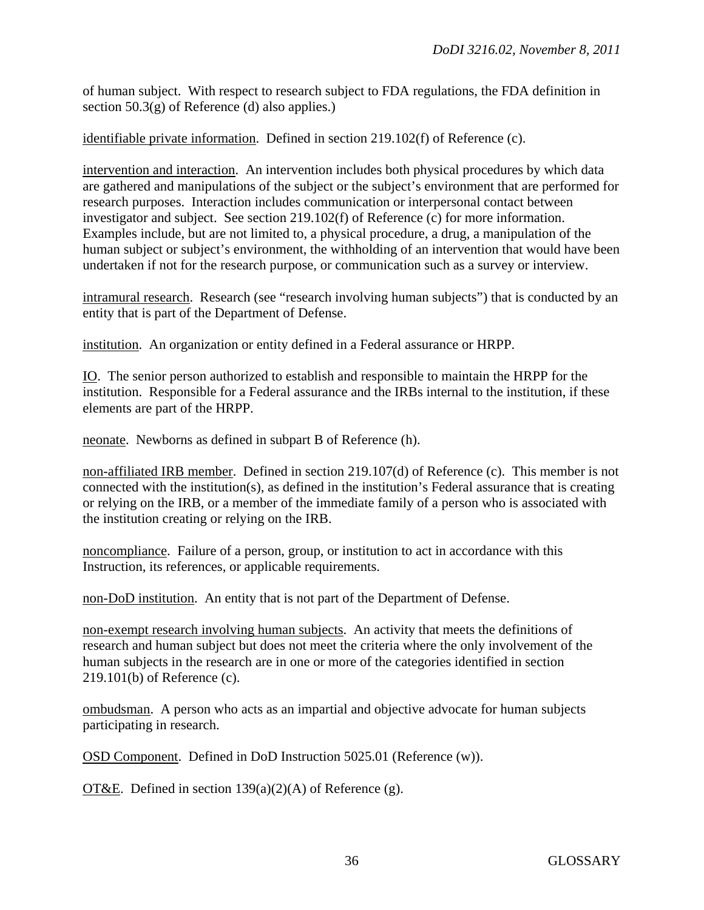of human subject. With respect to research subject to FDA regulations, the FDA definition in section  $50.3(g)$  of Reference (d) also applies.)

identifiable private information. Defined in section 219.102(f) of Reference (c).

intervention and interaction. An intervention includes both physical procedures by which data are gathered and manipulations of the subject or the subject's environment that are performed for research purposes. Interaction includes communication or interpersonal contact between investigator and subject. See section 219.102(f) of Reference (c) for more information. Examples include, but are not limited to, a physical procedure, a drug, a manipulation of the human subject or subject's environment, the withholding of an intervention that would have been undertaken if not for the research purpose, or communication such as a survey or interview.

intramural research. Research (see "research involving human subjects") that is conducted by an entity that is part of the Department of Defense.

institution. An organization or entity defined in a Federal assurance or HRPP.

IO. The senior person authorized to establish and responsible to maintain the HRPP for the institution. Responsible for a Federal assurance and the IRBs internal to the institution, if these elements are part of the HRPP.

neonate. Newborns as defined in subpart B of Reference (h).

non-affiliated IRB member. Defined in section 219.107(d) of Reference (c). This member is not connected with the institution(s), as defined in the institution's Federal assurance that is creating or relying on the IRB, or a member of the immediate family of a person who is associated with the institution creating or relying on the IRB.

noncompliance. Failure of a person, group, or institution to act in accordance with this Instruction, its references, or applicable requirements.

non-DoD institution. An entity that is not part of the Department of Defense.

non-exempt research involving human subjects. An activity that meets the definitions of research and human subject but does not meet the criteria where the only involvement of the human subjects in the research are in one or more of the categories identified in section 219.101(b) of Reference (c).

ombudsman. A person who acts as an impartial and objective advocate for human subjects participating in research.

OSD Component. Defined in DoD Instruction 5025.01 (Reference (w)).

OT&E. Defined in section  $139(a)(2)(A)$  of Reference (g).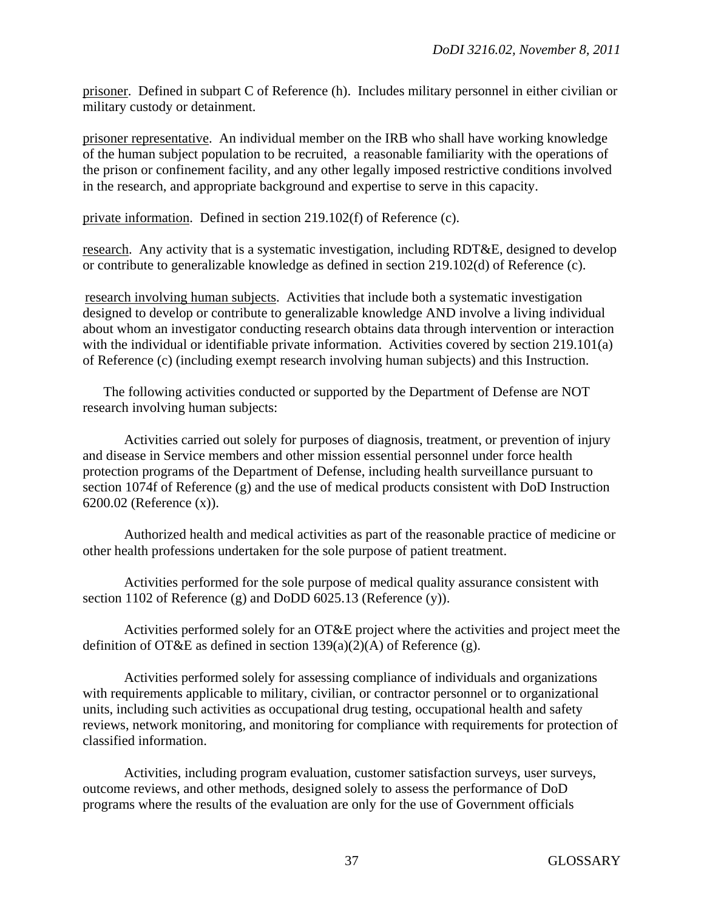prisoner. Defined in subpart C of Reference (h). Includes military personnel in either civilian or military custody or detainment.

prisoner representative. An individual member on the IRB who shall have working knowledge of the human subject population to be recruited, a reasonable familiarity with the operations of the prison or confinement facility, and any other legally imposed restrictive conditions involved in the research, and appropriate background and expertise to serve in this capacity.

private information. Defined in section 219.102(f) of Reference (c).

research. Any activity that is a systematic investigation, including RDT&E, designed to develop or contribute to generalizable knowledge as defined in section 219.102(d) of Reference (c).

research involving human subjects. Activities that include both a systematic investigation designed to develop or contribute to generalizable knowledge AND involve a living individual about whom an investigator conducting research obtains data through intervention or interaction with the individual or identifiable private information. Activities covered by section 219.101(a) of Reference (c) (including exempt research involving human subjects) and this Instruction.

 The following activities conducted or supported by the Department of Defense are NOT research involving human subjects:

Activities carried out solely for purposes of diagnosis, treatment, or prevention of injury and disease in Service members and other mission essential personnel under force health protection programs of the Department of Defense, including health surveillance pursuant to section 1074f of Reference (g) and the use of medical products consistent with DoD Instruction 6200.02 (Reference (x)).

Authorized health and medical activities as part of the reasonable practice of medicine or other health professions undertaken for the sole purpose of patient treatment.

Activities performed for the sole purpose of medical quality assurance consistent with section 1102 of Reference (g) and DoDD 6025.13 (Reference (y)).

Activities performed solely for an OT&E project where the activities and project meet the definition of OT&E as defined in section  $139(a)(2)(A)$  of Reference (g).

Activities performed solely for assessing compliance of individuals and organizations with requirements applicable to military, civilian, or contractor personnel or to organizational units, including such activities as occupational drug testing, occupational health and safety reviews, network monitoring, and monitoring for compliance with requirements for protection of classified information.

 Activities, including program evaluation, customer satisfaction surveys, user surveys, outcome reviews, and other methods, designed solely to assess the performance of DoD programs where the results of the evaluation are only for the use of Government officials